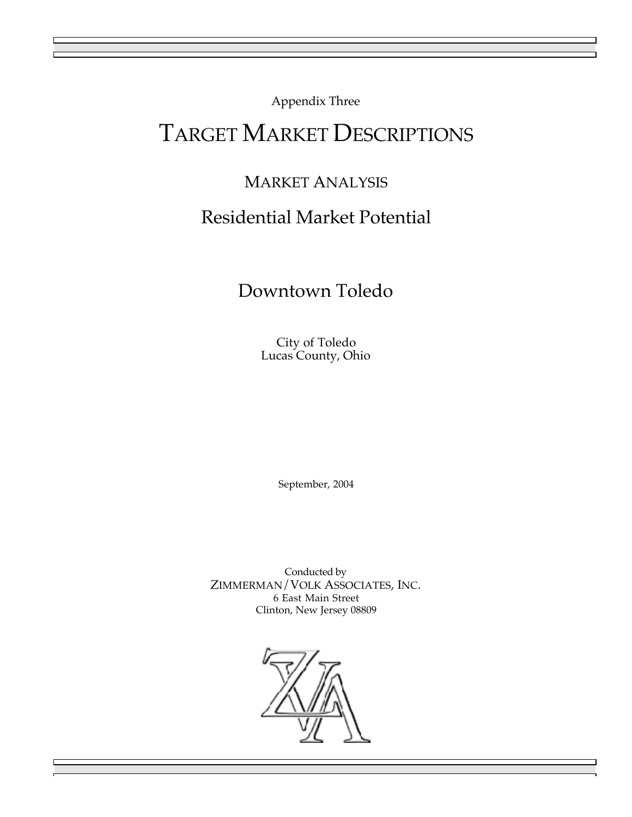Appendix Three

# TARGET MARKET DESCRIPTIONS

# MARKET ANALYSIS Residential Market Potential

## Downtown Toledo

City of Toledo Lucas County, Ohio

September, 2004

Conducted by ZIMMERMAN/VOLK ASSOCIATES, INC. 6 East Main Street Clinton, New Jersey 08809

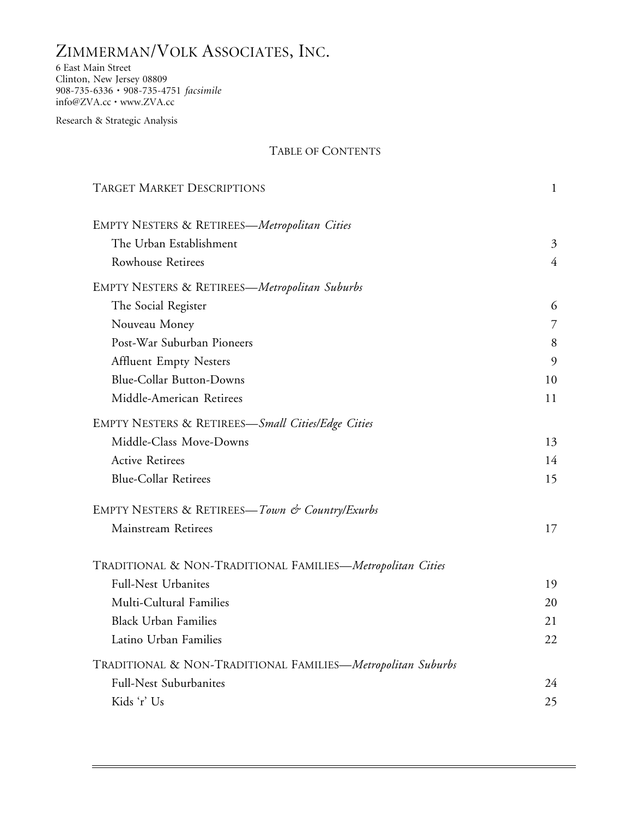## ZIMMERMAN/VOLK ASSOCIATES, INC.

6 East Main Street Clinton, New Jersey 08809 908-735-6336 • 908-735-4751 *facsimile* info@ZVA.cc • www.ZVA.cc

Research & Strategic Analysis

### TABLE OF CONTENTS

| <b>TARGET MARKET DESCRIPTIONS</b>                           | $\mathbf 1$    |
|-------------------------------------------------------------|----------------|
| EMPTY NESTERS & RETIREES-Metropolitan Cities                |                |
| The Urban Establishment                                     | 3              |
| Rowhouse Retirees                                           | $\overline{4}$ |
| <b>EMPTY NESTERS &amp; RETIREES—Metropolitan Suburbs</b>    |                |
| The Social Register                                         | 6              |
| Nouveau Money                                               | 7              |
| Post-War Suburban Pioneers                                  | 8              |
| <b>Affluent Empty Nesters</b>                               | 9              |
| <b>Blue-Collar Button-Downs</b>                             | 10             |
| Middle-American Retirees                                    | 11             |
| EMPTY NESTERS & RETIREES-Small Cities/Edge Cities           |                |
| Middle-Class Move-Downs                                     | 13             |
| <b>Active Retirees</b>                                      | 14             |
| <b>Blue-Collar Retirees</b>                                 | 15             |
| EMPTY NESTERS & RETIREES—Town & Country/Exurbs              |                |
| Mainstream Retirees                                         | 17             |
| TRADITIONAL & NON-TRADITIONAL FAMILIES-Metropolitan Cities  |                |
| Full-Nest Urbanites                                         | 19             |
| Multi-Cultural Families                                     | 20             |
| <b>Black Urban Families</b>                                 | 21             |
| Latino Urban Families                                       | 22             |
| TRADITIONAL & NON-TRADITIONAL FAMILIES-Metropolitan Suburbs |                |
| Full-Nest Suburbanites                                      | 24             |
| Kids 'r' Us                                                 | 25             |
|                                                             |                |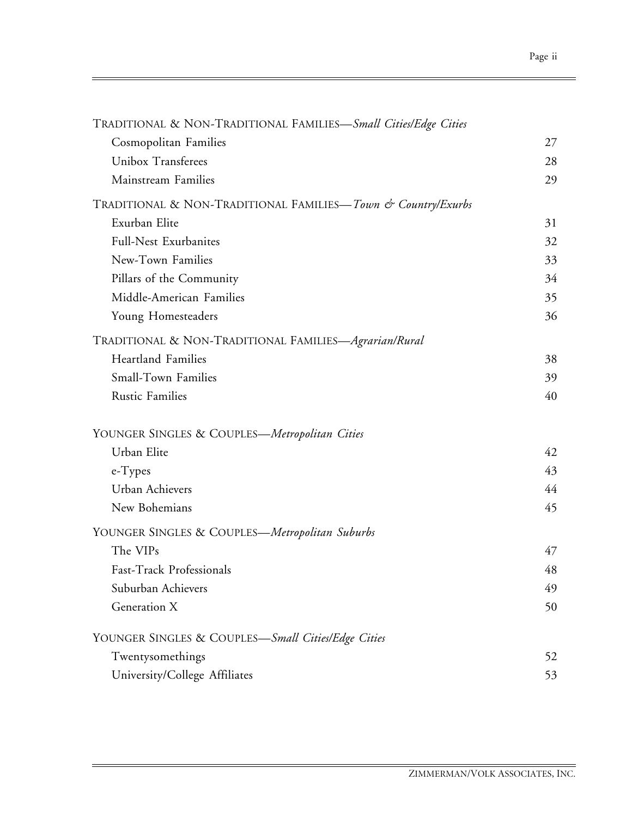| TRADITIONAL & NON-TRADITIONAL FAMILIES-Small Cities/Edge Cities |    |
|-----------------------------------------------------------------|----|
| Cosmopolitan Families                                           | 27 |
| Unibox Transferees                                              | 28 |
| Mainstream Families                                             | 29 |
| TRADITIONAL & NON-TRADITIONAL FAMILIES—Town & Country/Exurbs    |    |
| Exurban Elite                                                   | 31 |
| <b>Full-Nest Exurbanites</b>                                    | 32 |
| New-Town Families                                               | 33 |
| Pillars of the Community                                        | 34 |
| Middle-American Families                                        | 35 |
| Young Homesteaders                                              | 36 |
| TRADITIONAL & NON-TRADITIONAL FAMILIES-Agrarian/Rural           |    |
| <b>Heartland Families</b>                                       | 38 |
| Small-Town Families                                             | 39 |
| <b>Rustic Families</b>                                          | 40 |
| YOUNGER SINGLES & COUPLES-Metropolitan Cities                   |    |
| Urban Elite                                                     | 42 |
| e-Types                                                         | 43 |
| Urban Achievers                                                 | 44 |
| New Bohemians                                                   | 45 |
| YOUNGER SINGLES & COUPLES—Metropolitan Suburbs                  |    |
| The VIPs                                                        | 47 |
| Fast-Track Professionals                                        | 48 |
| Suburban Achievers                                              | 49 |
| Generation X                                                    | 50 |
| YOUNGER SINGLES & COUPLES—Small Cities/Edge Cities              |    |
| Twentysomethings                                                | 52 |
| University/College Affiliates                                   | 53 |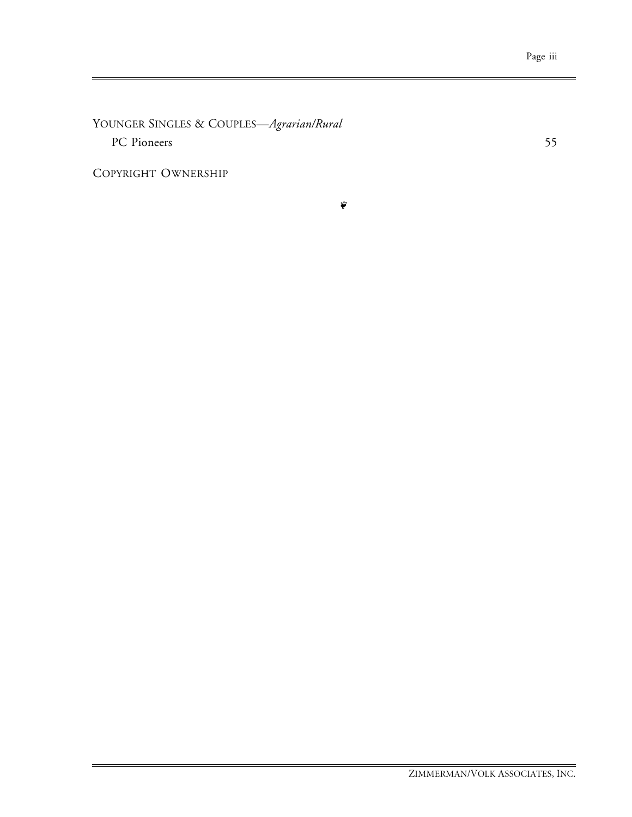YOUNGER SINGLES & COUPLES—*Agrarian/Rural* PC Pioneers 55

COPYRIGHT OWNERSHIP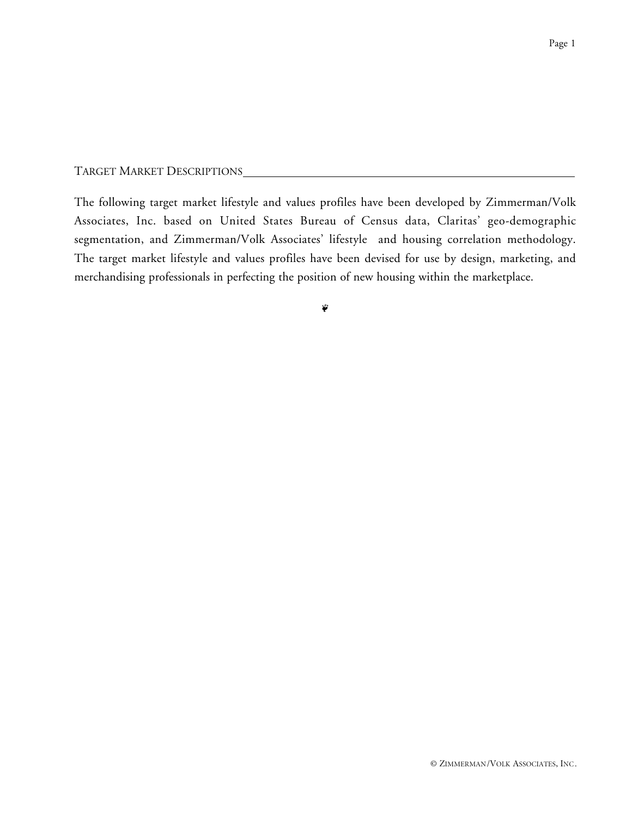TARGET MARKET DESCRIPTIONS

The following target market lifestyle and values profiles have been developed by Zimmerman/Volk Associates, Inc. based on United States Bureau of Census data, Claritas' geo-demographic segmentation, and Zimmerman/Volk Associates' lifestyle and housing correlation methodology. The target market lifestyle and values profiles have been devised for use by design, marketing, and merchandising professionals in perfecting the position of new housing within the marketplace.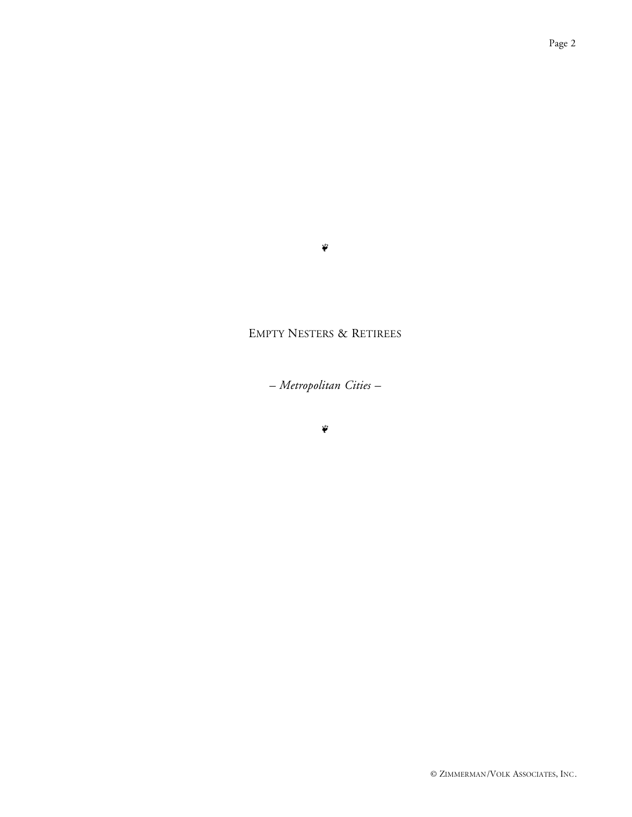#### $\ddot{\phi}$

## EMPTY NESTERS & RETIREES

*– Metropolitan Cities –*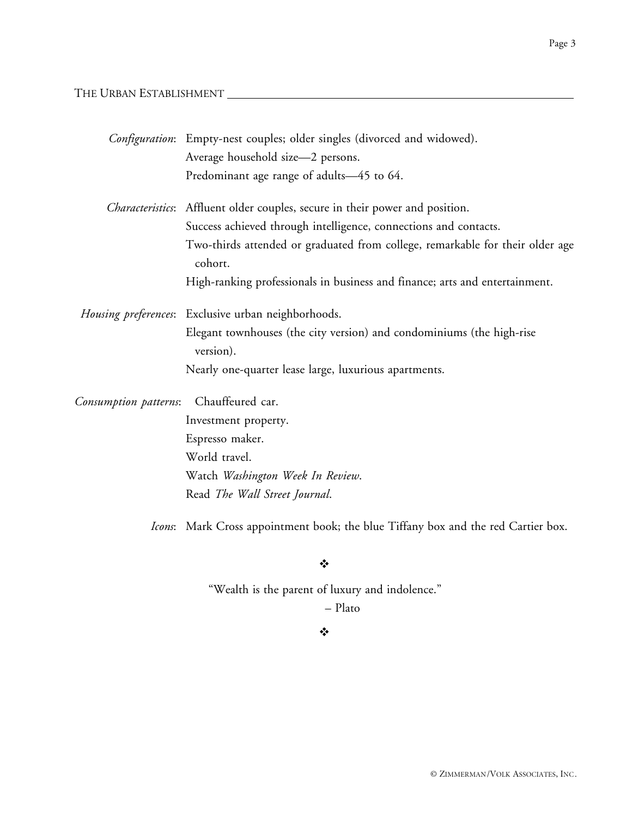THE URBAN ESTABLISHMENT

|                       | Configuration: Empty-nest couples; older singles (divorced and widowed).                 |
|-----------------------|------------------------------------------------------------------------------------------|
|                       | Average household size-2 persons.                                                        |
|                       | Predominant age range of adults-45 to 64.                                                |
|                       | Characteristics: Affluent older couples, secure in their power and position.             |
|                       | Success achieved through intelligence, connections and contacts.                         |
|                       | Two-thirds attended or graduated from college, remarkable for their older age<br>cohort. |
|                       | High-ranking professionals in business and finance; arts and entertainment.              |
|                       | Housing preferences: Exclusive urban neighborhoods.                                      |
|                       | Elegant townhouses (the city version) and condominiums (the high-rise<br>version).       |
|                       | Nearly one-quarter lease large, luxurious apartments.                                    |
| Consumption patterns: | Chauffeured car.                                                                         |
|                       | Investment property.                                                                     |
|                       | Espresso maker.                                                                          |
|                       | World travel.                                                                            |
|                       | Watch Washington Week In Review.                                                         |
|                       | Read The Wall Street Journal.                                                            |

*Icons*: Mark Cross appointment book; the blue Tiffany box and the red Cartier box.

 $\ddot{\cdot}$ 

"Wealth is the parent of luxury and indolence."

– Plato

#### ❖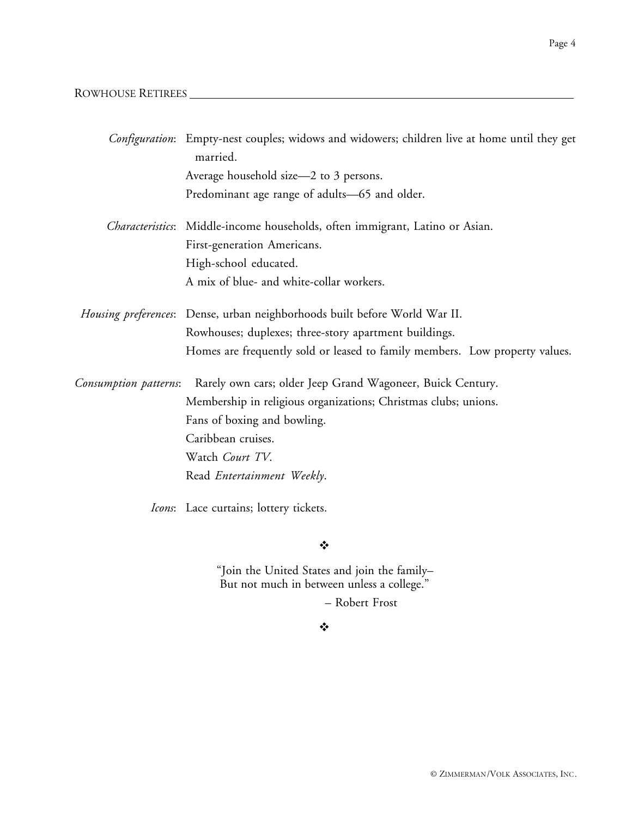## ROWHOUSE RETIREES

|                       | Configuration: Empty-nest couples; widows and widowers; children live at home until they get<br>married. |
|-----------------------|----------------------------------------------------------------------------------------------------------|
|                       | Average household size—2 to 3 persons.                                                                   |
|                       | Predominant age range of adults-65 and older.                                                            |
|                       | Characteristics: Middle-income households, often immigrant, Latino or Asian.                             |
|                       | First-generation Americans.                                                                              |
|                       | High-school educated.                                                                                    |
|                       | A mix of blue- and white-collar workers.                                                                 |
|                       | Housing preferences: Dense, urban neighborhoods built before World War II.                               |
|                       | Rowhouses; duplexes; three-story apartment buildings.                                                    |
|                       | Homes are frequently sold or leased to family members. Low property values.                              |
| Consumption patterns: | Rarely own cars; older Jeep Grand Wagoneer, Buick Century.                                               |
|                       | Membership in religious organizations; Christmas clubs; unions.                                          |
|                       | Fans of boxing and bowling.                                                                              |
|                       | Caribbean cruises.                                                                                       |
|                       | Watch Court TV.                                                                                          |
|                       | Read Entertainment Weekly.                                                                               |
|                       | Icons: Lace curtains; lottery tickets.                                                                   |

 $\ddot{\bullet}$ 

"Join the United States and join the family– But not much in between unless a college."

– Robert Frost

Page 4

## $\ddot{\bullet}$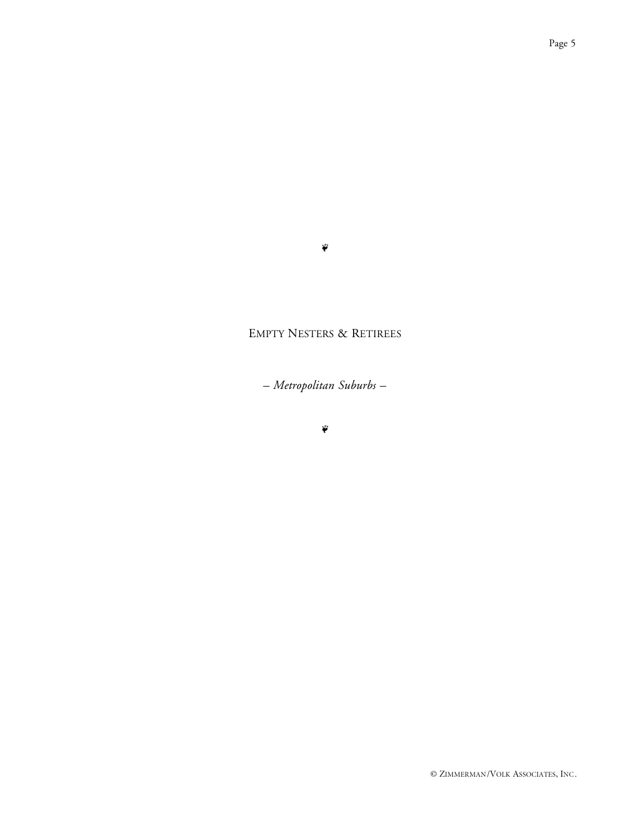#### $\ddot{\phi}$

## EMPTY NESTERS & RETIREES

*– Metropolitan Suburbs –*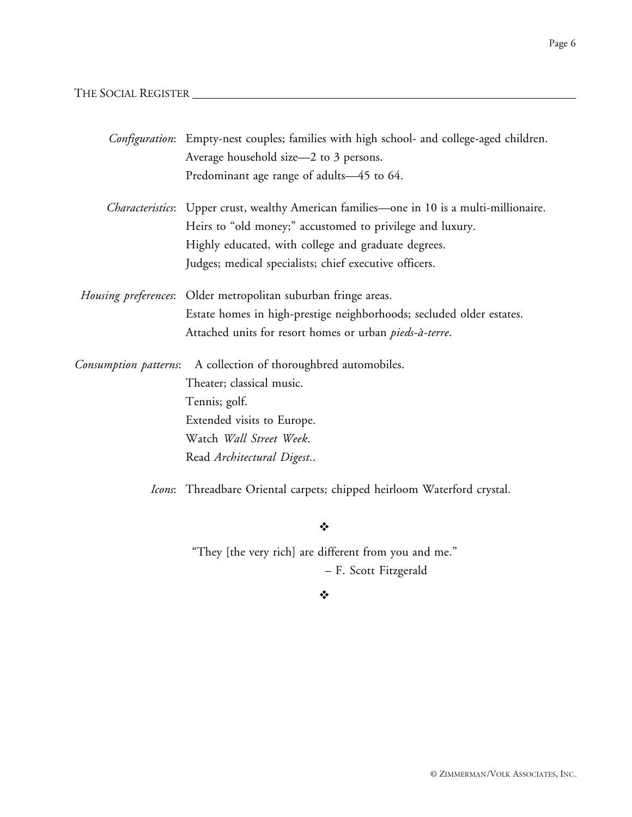#### THE SOCIAL REGISTER

|                       | Configuration: Empty-nest couples; families with high school- and college-aged children.          |
|-----------------------|---------------------------------------------------------------------------------------------------|
|                       | Average household size—2 to 3 persons.                                                            |
|                       | Predominant age range of adults-45 to 64.                                                         |
|                       | <i>Characteristics</i> : Upper crust, wealthy American families—one in 10 is a multi-millionaire. |
|                       | Heirs to "old money;" accustomed to privilege and luxury.                                         |
|                       | Highly educated, with college and graduate degrees.                                               |
|                       | Judges; medical specialists; chief executive officers.                                            |
|                       | Housing preferences: Older metropolitan suburban fringe areas.                                    |
|                       | Estate homes in high-prestige neighborhoods; secluded older estates.                              |
|                       | Attached units for resort homes or urban <i>pieds-à-terre</i> .                                   |
| Consumption patterns: | A collection of thoroughbred automobiles.                                                         |
|                       | Theater; classical music.                                                                         |
|                       | Tennis; golf.                                                                                     |
|                       | Extended visits to Europe.                                                                        |
|                       | Watch Wall Street Week.                                                                           |
|                       | Read Architectural Digest                                                                         |
|                       | Icons: Threadbare Oriental carpets; chipped heirloom Waterford crystal.                           |

 $\mathbf{v}_i^{\star}$ 

"They [the very rich] are different from you and me." – F. Scott Fitzgerald

 $\ddot{\bullet}$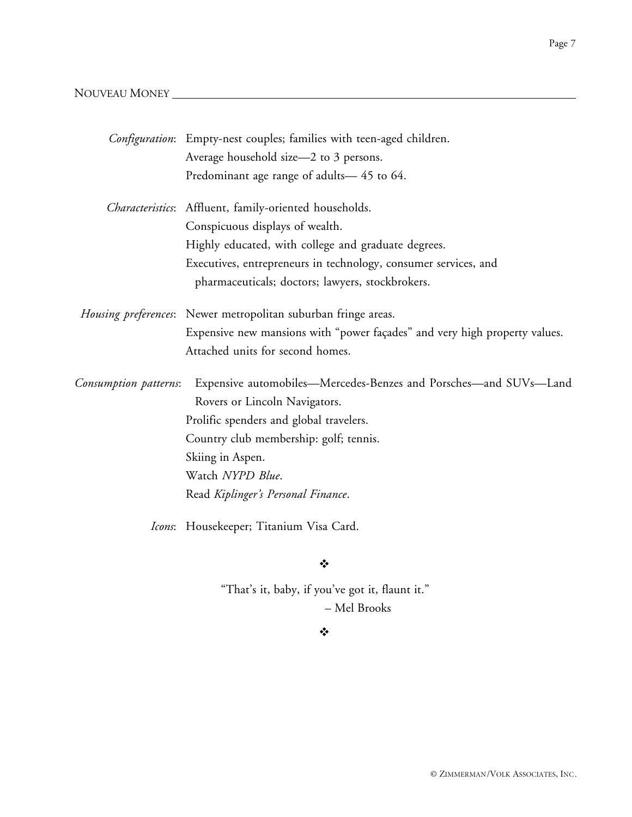## NOUVEAU MONEY

|                       | Configuration: Empty-nest couples; families with teen-aged children.       |
|-----------------------|----------------------------------------------------------------------------|
|                       | Average household size-2 to 3 persons.                                     |
|                       | Predominant age range of adults-45 to 64.                                  |
|                       | Characteristics: Affluent, family-oriented households.                     |
|                       | Conspicuous displays of wealth.                                            |
|                       | Highly educated, with college and graduate degrees.                        |
|                       | Executives, entrepreneurs in technology, consumer services, and            |
|                       | pharmaceuticals; doctors; lawyers, stockbrokers.                           |
|                       | Housing preferences: Newer metropolitan suburban fringe areas.             |
|                       | Expensive new mansions with "power façades" and very high property values. |
|                       | Attached units for second homes.                                           |
| Consumption patterns: | Expensive automobiles—Mercedes-Benzes and Porsches—and SUVs—Land           |
|                       | Rovers or Lincoln Navigators.                                              |
|                       | Prolific spenders and global travelers.                                    |
|                       | Country club membership: golf; tennis.                                     |
|                       | Skiing in Aspen.                                                           |
|                       | Watch NYPD Blue.                                                           |
|                       | Read Kiplinger's Personal Finance.                                         |
|                       | Icons: Housekeeper; Titanium Visa Card.                                    |

 $\ddot{\bullet}$ 

"That's it, baby, if you've got it, flaunt it." – Mel Brooks

### $\bullet^{\bullet}_{\Phi}$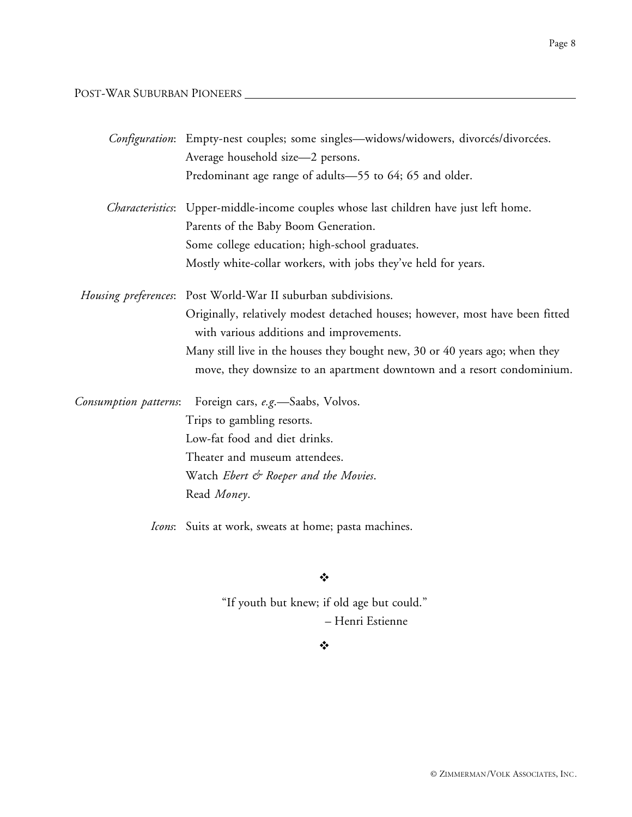POST-WAR SUBURBAN PIONEERS

|                       | Configuration: Empty-nest couples; some singles-widows/widowers, divorcés/divorcées.                                      |
|-----------------------|---------------------------------------------------------------------------------------------------------------------------|
|                       | Average household size-2 persons.                                                                                         |
|                       | Predominant age range of adults-55 to 64; 65 and older.                                                                   |
|                       | <i>Characteristics</i> : Upper-middle-income couples whose last children have just left home.                             |
|                       | Parents of the Baby Boom Generation.                                                                                      |
|                       | Some college education; high-school graduates.                                                                            |
|                       | Mostly white-collar workers, with jobs they've held for years.                                                            |
|                       | Housing preferences: Post World-War II suburban subdivisions.                                                             |
|                       | Originally, relatively modest detached houses; however, most have been fitted<br>with various additions and improvements. |
|                       | Many still live in the houses they bought new, 30 or 40 years ago; when they                                              |
|                       | move, they downsize to an apartment downtown and a resort condominium.                                                    |
| Consumption patterns: | Foreign cars, e.g.-Saabs, Volvos.                                                                                         |
|                       | Trips to gambling resorts.                                                                                                |
|                       | Low-fat food and diet drinks.                                                                                             |
|                       | Theater and museum attendees.                                                                                             |
|                       | Watch Ebert & Roeper and the Movies.                                                                                      |
|                       | Read Money.                                                                                                               |
|                       | Icons: Suits at work, sweats at home; pasta machines.                                                                     |

 $\bullet^{\bullet}_{\bullet} \bullet$ 

"If youth but knew; if old age but could." – Henri Estienne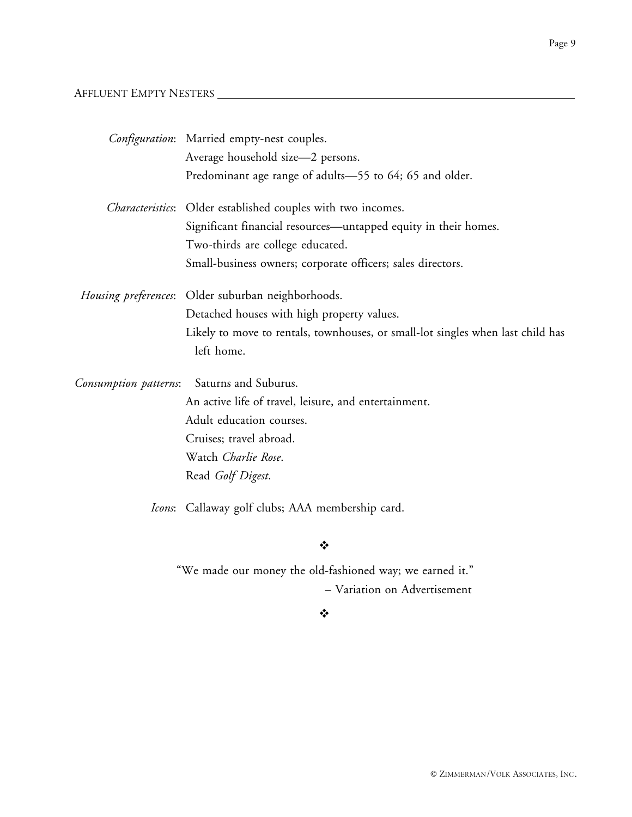## AFFLUENT EMPTY NESTERS

|                       | Configuration: Married empty-nest couples.                                      |
|-----------------------|---------------------------------------------------------------------------------|
|                       | Average household size-2 persons.                                               |
|                       | Predominant age range of adults-55 to 64; 65 and older.                         |
|                       | Characteristics: Older established couples with two incomes.                    |
|                       | Significant financial resources—untapped equity in their homes.                 |
|                       | Two-thirds are college educated.                                                |
|                       | Small-business owners; corporate officers; sales directors.                     |
|                       | <i>Housing preferences</i> : Older suburban neighborhoods.                      |
|                       | Detached houses with high property values.                                      |
|                       | Likely to move to rentals, townhouses, or small-lot singles when last child has |
|                       | left home.                                                                      |
| Consumption patterns: | Saturns and Suburus.                                                            |
|                       | An active life of travel, leisure, and entertainment.                           |
|                       | Adult education courses.                                                        |
|                       | Cruises; travel abroad.                                                         |
|                       | Watch Charlie Rose.                                                             |
|                       | Read Golf Digest.                                                               |
|                       | <i>Icons</i> : Callaway golf clubs; AAA membership card.                        |

 $\ddot{\cdot}$ 

"We made our money the old-fashioned way; we earned it." – Variation on Advertisement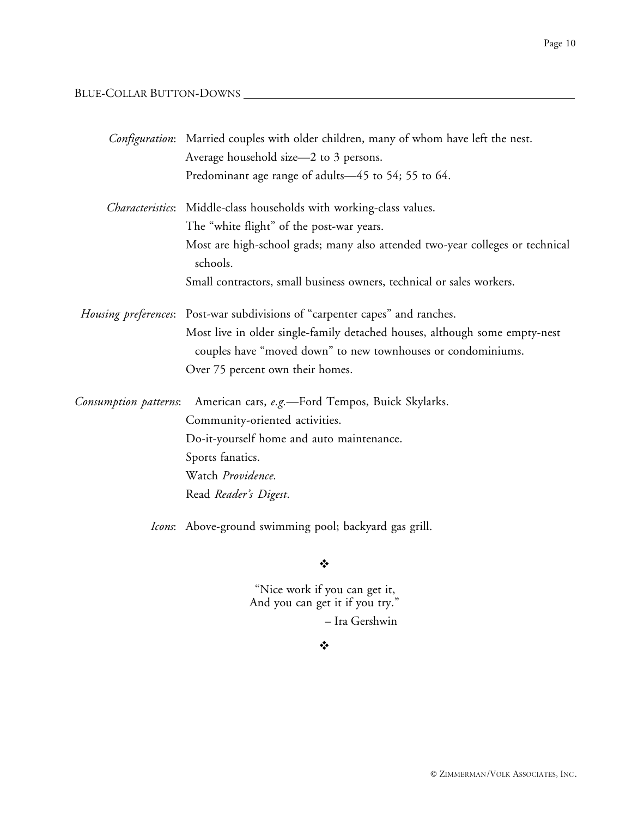## BLUE-COLLAR BUTTON-DOWNS

|                              | Configuration: Married couples with older children, many of whom have left the nest.                                                       |
|------------------------------|--------------------------------------------------------------------------------------------------------------------------------------------|
|                              | Average household size-2 to 3 persons.                                                                                                     |
|                              | Predominant age range of adults-45 to 54; 55 to 64.                                                                                        |
|                              | Characteristics: Middle-class households with working-class values.                                                                        |
|                              | The "white flight" of the post-war years.                                                                                                  |
|                              | Most are high-school grads; many also attended two-year colleges or technical<br>schools.                                                  |
|                              | Small contractors, small business owners, technical or sales workers.                                                                      |
|                              | Housing preferences: Post-war subdivisions of "carpenter capes" and ranches.                                                               |
|                              | Most live in older single-family detached houses, although some empty-nest<br>couples have "moved down" to new townhouses or condominiums. |
|                              | Over 75 percent own their homes.                                                                                                           |
| <i>Consumption patterns:</i> | American cars, e.g.-Ford Tempos, Buick Skylarks.                                                                                           |
|                              | Community-oriented activities.                                                                                                             |
|                              | Do-it-yourself home and auto maintenance.                                                                                                  |
|                              | Sports fanatics.                                                                                                                           |
|                              | Watch Providence.                                                                                                                          |
|                              | Read Reader's Digest.                                                                                                                      |
|                              | Icons: Above-ground swimming pool; backyard gas grill.                                                                                     |

 $\ddot{\cdot}$ 

"Nice work if you can get it, And you can get it if you try."

– Ira Gershwin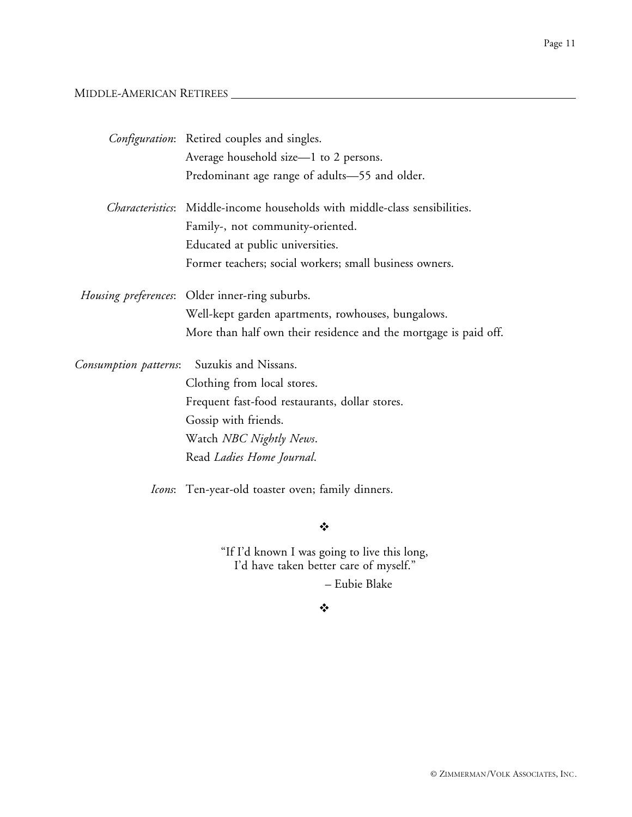#### MIDDLE-AMERICAN RETIREES

|                       | Configuration: Retired couples and singles.                                        |
|-----------------------|------------------------------------------------------------------------------------|
|                       | Average household size—1 to 2 persons.                                             |
|                       | Predominant age range of adults-55 and older.                                      |
|                       | <i>Characteristics</i> : Middle-income households with middle-class sensibilities. |
|                       | Family-, not community-oriented.                                                   |
|                       | Educated at public universities.                                                   |
|                       | Former teachers; social workers; small business owners.                            |
|                       | Housing preferences: Older inner-ring suburbs.                                     |
|                       | Well-kept garden apartments, rowhouses, bungalows.                                 |
|                       | More than half own their residence and the mortgage is paid off.                   |
| Consumption patterns: | Suzukis and Nissans.                                                               |
|                       | Clothing from local stores.                                                        |
|                       | Frequent fast-food restaurants, dollar stores.                                     |
|                       | Gossip with friends.                                                               |
|                       | Watch NBC Nightly News.                                                            |
|                       | Read Ladies Home Journal.                                                          |
|                       | Icons: Ten-year-old toaster oven; family dinners.                                  |

 $\bullet$ 

"If I'd known I was going to live this long, I'd have taken better care of myself."

– Eubie Blake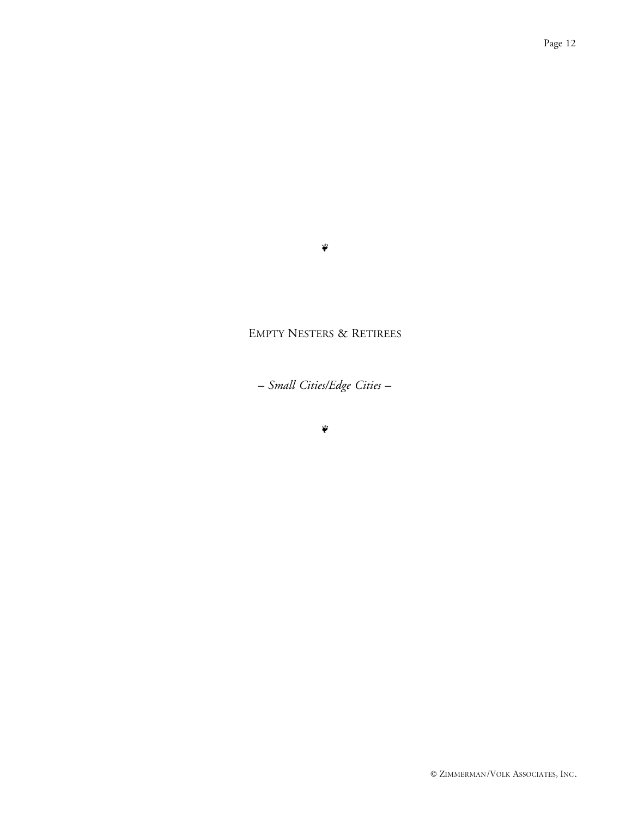#### $\ddot{\phi}$

## EMPTY NESTERS & RETIREES

*– Small Cities/Edge Cities –*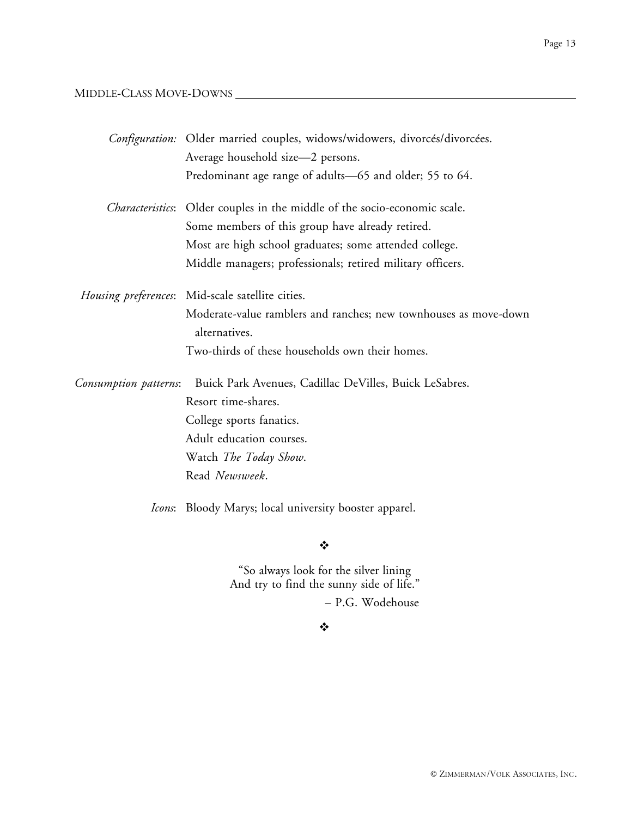MIDDLE-CLASS MOVE-DOWNS

|                       | Configuration: Older married couples, widows/widowers, divorcés/divorcées.        |
|-----------------------|-----------------------------------------------------------------------------------|
|                       | Average household size-2 persons.                                                 |
|                       | Predominant age range of adults-65 and older; 55 to 64.                           |
|                       | <i>Characteristics</i> : Older couples in the middle of the socio-economic scale. |
|                       | Some members of this group have already retired.                                  |
|                       | Most are high school graduates; some attended college.                            |
|                       | Middle managers; professionals; retired military officers.                        |
| Housing preferences:  | Mid-scale satellite cities.                                                       |
|                       | Moderate-value ramblers and ranches; new townhouses as move-down<br>alternatives. |
|                       | Two-thirds of these households own their homes.                                   |
| Consumption patterns: | Buick Park Avenues, Cadillac DeVilles, Buick LeSabres.                            |
|                       | Resort time-shares.                                                               |
|                       | College sports fanatics.                                                          |
|                       | Adult education courses.                                                          |
|                       | Watch The Today Show.                                                             |
|                       | Read Newsweek.                                                                    |
|                       | <i>Icons</i> : Bloody Marys; local university booster apparel.                    |

 $\ddot{\bullet}$ 

"So always look for the silver lining And try to find the sunny side of life." – P.G. Wodehouse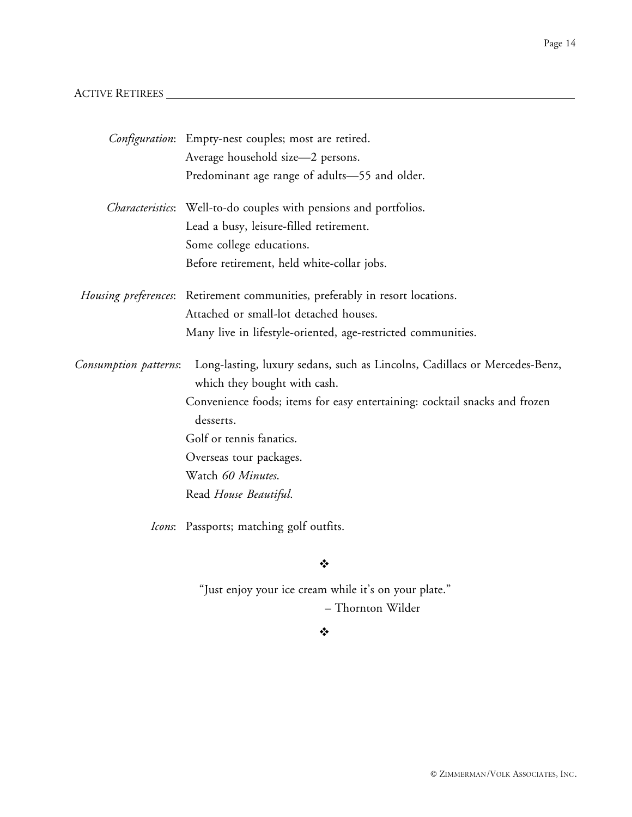## ACTIVE RETIREES

|                       | Configuration: Empty-nest couples; most are retired.                                                       |
|-----------------------|------------------------------------------------------------------------------------------------------------|
|                       | Average household size-2 persons.                                                                          |
|                       | Predominant age range of adults-55 and older.                                                              |
|                       | <i>Characteristics</i> : Well-to-do couples with pensions and portfolios.                                  |
|                       | Lead a busy, leisure-filled retirement.                                                                    |
|                       | Some college educations.                                                                                   |
|                       | Before retirement, held white-collar jobs.                                                                 |
|                       | Housing preferences: Retirement communities, preferably in resort locations.                               |
|                       | Attached or small-lot detached houses.                                                                     |
|                       | Many live in lifestyle-oriented, age-restricted communities.                                               |
| Consumption patterns: | Long-lasting, luxury sedans, such as Lincolns, Cadillacs or Mercedes-Benz,<br>which they bought with cash. |
|                       | Convenience foods; items for easy entertaining: cocktail snacks and frozen                                 |
|                       | desserts.                                                                                                  |
|                       | Golf or tennis fanatics.                                                                                   |
|                       | Overseas tour packages.                                                                                    |
|                       | Watch 60 Minutes.                                                                                          |
|                       | Read House Beautiful.                                                                                      |
|                       | Icons: Passports; matching golf outfits.                                                                   |

 $\ddot{\cdot}$ 

"Just enjoy your ice cream while it's on your plate." – Thornton Wilder

#### $\bullet^{\bullet}_{\Phi}$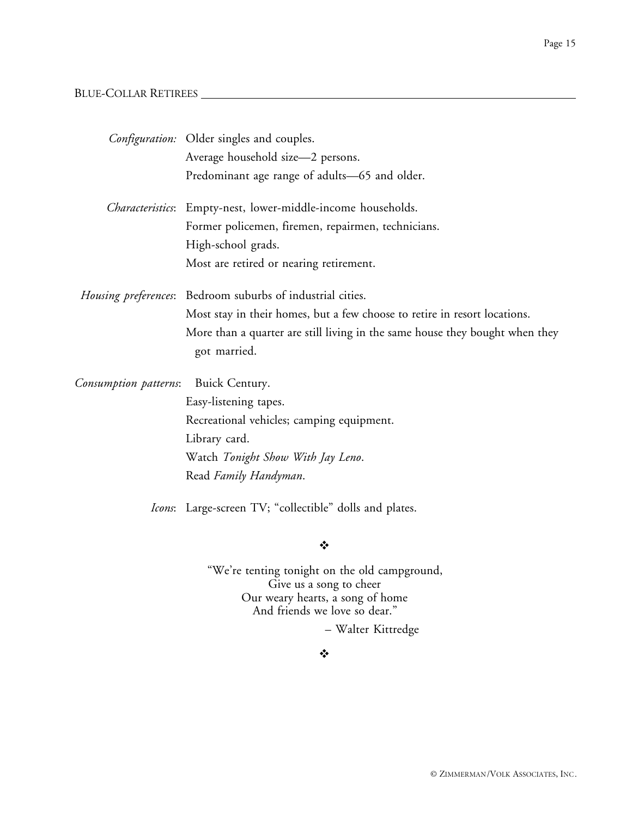## BLUE-COLLAR RETIREES

|                       | <i>Configuration:</i> Older singles and couples.                                             |
|-----------------------|----------------------------------------------------------------------------------------------|
|                       | Average household size-2 persons.                                                            |
|                       | Predominant age range of adults-65 and older.                                                |
| Characteristics:      | Empty-nest, lower-middle-income households.                                                  |
|                       | Former policemen, firemen, repairmen, technicians.                                           |
|                       | High-school grads.                                                                           |
|                       | Most are retired or nearing retirement.                                                      |
|                       | Housing preferences: Bedroom suburbs of industrial cities.                                   |
|                       | Most stay in their homes, but a few choose to retire in resort locations.                    |
|                       | More than a quarter are still living in the same house they bought when they<br>got married. |
| Consumption patterns: | Buick Century.                                                                               |
|                       | Easy-listening tapes.                                                                        |
|                       | Recreational vehicles; camping equipment.                                                    |
|                       | Library card.                                                                                |
|                       | Watch Tonight Show With Jay Leno.                                                            |
|                       | Read Family Handyman.                                                                        |
|                       | <i>Icons</i> : Large-screen TV; "collectible" dolls and plates.                              |
|                       | ❖                                                                                            |
|                       | "We're tenting tonight on the old campground,<br>Give us a song to cheer                     |

And friends we love so dear."

– Walter Kittredge

 $\bullet^{\bullet}_{\Phi}$ 

Our weary hearts, a song of home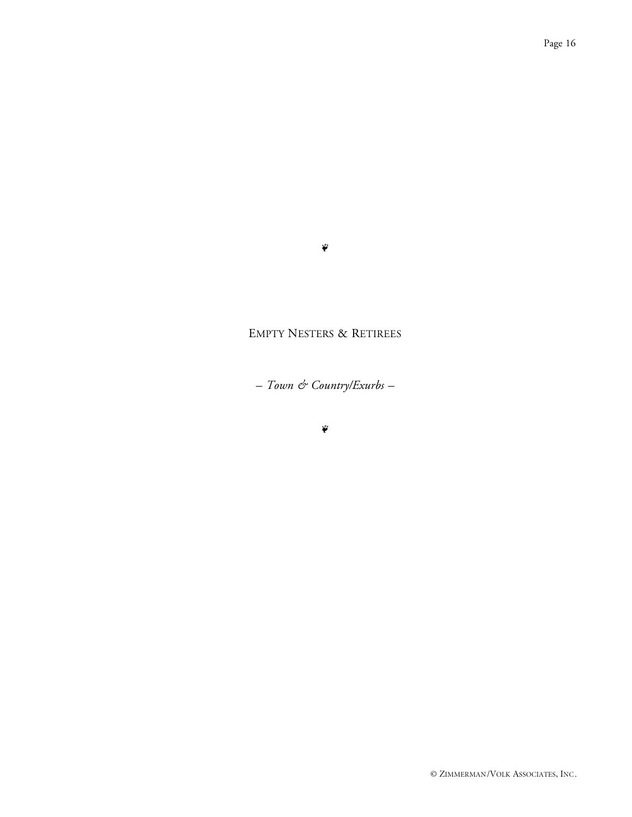#### $\tilde{\psi}$

## EMPTY NESTERS & RETIREES

*– Town & Country/Exurbs –*

 $\ddot{\ddot{\bullet}}$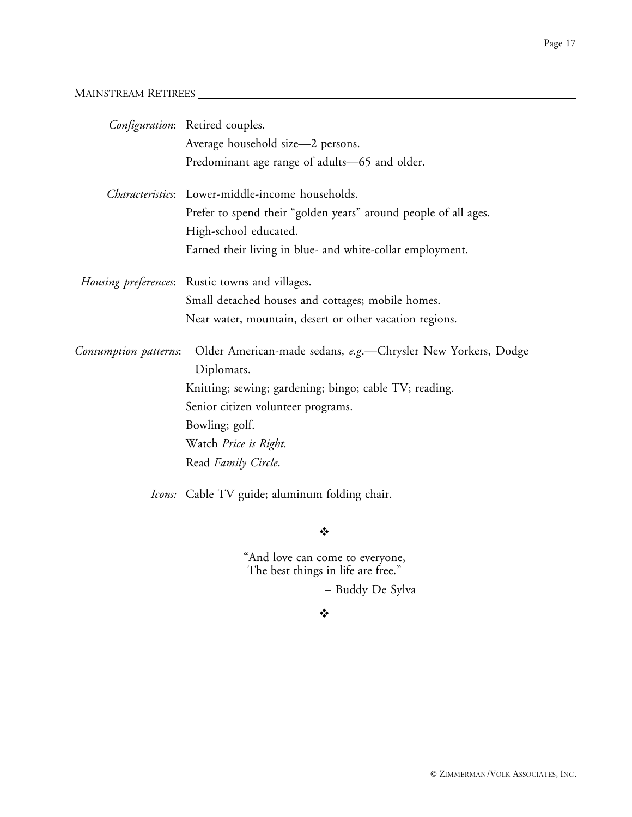## MAINSTREAM RETIREES

|                       | Configuration: Retired couples.                                            |
|-----------------------|----------------------------------------------------------------------------|
|                       | Average household size-2 persons.                                          |
|                       | Predominant age range of adults-65 and older.                              |
|                       | Characteristics: Lower-middle-income households.                           |
|                       | Prefer to spend their "golden years" around people of all ages.            |
|                       | High-school educated.                                                      |
|                       | Earned their living in blue- and white-collar employment.                  |
|                       | Housing preferences: Rustic towns and villages.                            |
|                       | Small detached houses and cottages; mobile homes.                          |
|                       | Near water, mountain, desert or other vacation regions.                    |
| Consumption patterns: | Older American-made sedans, e.g.-Chrysler New Yorkers, Dodge<br>Diplomats. |
|                       | Knitting; sewing; gardening; bingo; cable TV; reading.                     |
|                       | Senior citizen volunteer programs.                                         |
|                       | Bowling; golf.                                                             |
|                       | Watch Price is Right.                                                      |
|                       | Read Family Circle.                                                        |
|                       | Icons: Cable TV guide; aluminum folding chair.                             |

#### $\bullet^{\bullet}_{\Phi}$

"And love can come to everyone, The best things in life are free."

– Buddy De Sylva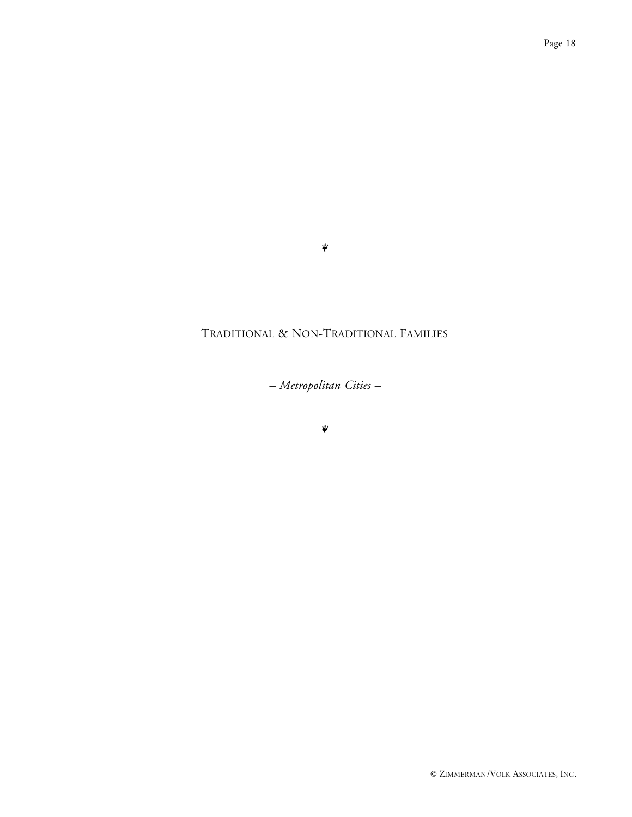#### $\ddot{\phi}$

## TRADITIONAL & NON-TRADITIONAL FAMILIES

*– Metropolitan Cities –*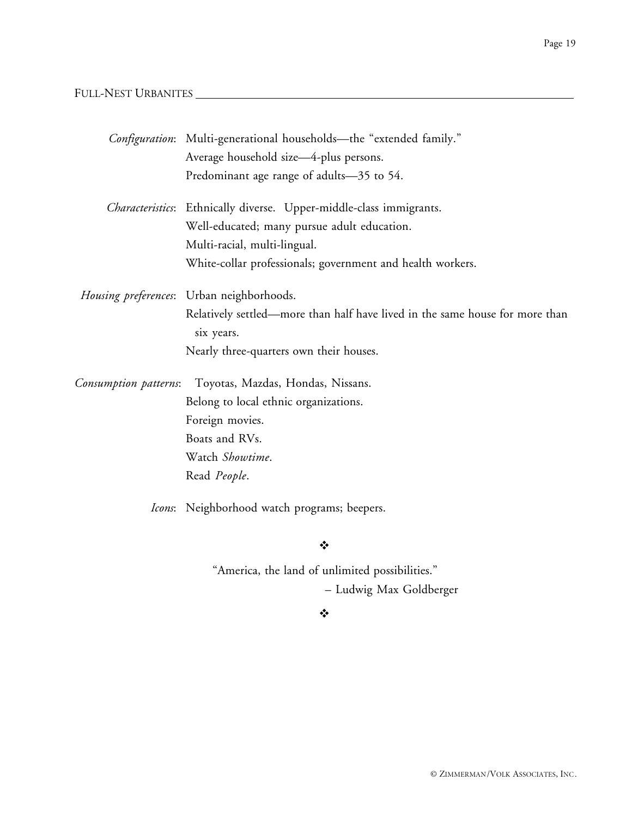## FULL-NEST URBANITES

|                       | Configuration: Multi-generational households—the "extended family."                        |
|-----------------------|--------------------------------------------------------------------------------------------|
|                       | Average household size-4-plus persons.                                                     |
|                       | Predominant age range of adults-35 to 54.                                                  |
|                       | Characteristics: Ethnically diverse. Upper-middle-class immigrants.                        |
|                       | Well-educated; many pursue adult education.                                                |
|                       | Multi-racial, multi-lingual.                                                               |
|                       | White-collar professionals; government and health workers.                                 |
|                       | Housing preferences: Urban neighborhoods.                                                  |
|                       | Relatively settled—more than half have lived in the same house for more than<br>six years. |
|                       | Nearly three-quarters own their houses.                                                    |
| Consumption patterns: | Toyotas, Mazdas, Hondas, Nissans.                                                          |
|                       | Belong to local ethnic organizations.                                                      |
|                       | Foreign movies.                                                                            |
|                       | Boats and RVs.                                                                             |
|                       | Watch Showtime.                                                                            |
|                       | Read People.                                                                               |
|                       | Icons: Neighborhood watch programs; beepers.                                               |
|                       |                                                                                            |

 $\ddot{\bullet}$ 

"America, the land of unlimited possibilities." – Ludwig Max Goldberger

#### $\ddot{\bullet}$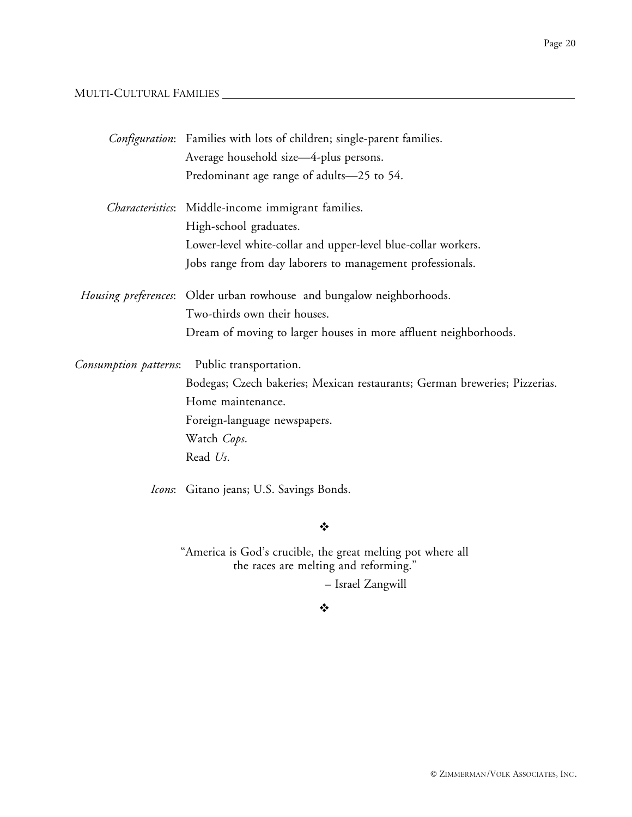## MULTI-CULTURAL FAMILIES

|                       | <i>Configuration</i> : Families with lots of children; single-parent families. |
|-----------------------|--------------------------------------------------------------------------------|
|                       | Average household size-4-plus persons.                                         |
|                       | Predominant age range of adults-25 to 54.                                      |
|                       | Characteristics: Middle-income immigrant families.                             |
|                       | High-school graduates.                                                         |
|                       | Lower-level white-collar and upper-level blue-collar workers.                  |
|                       | Jobs range from day laborers to management professionals.                      |
|                       | Housing preferences: Older urban rowhouse and bungalow neighborhoods.          |
|                       | Two-thirds own their houses.                                                   |
|                       | Dream of moving to larger houses in more affluent neighborhoods.               |
| Consumption patterns: | Public transportation.                                                         |
|                       | Bodegas; Czech bakeries; Mexican restaurants; German breweries; Pizzerias.     |
|                       | Home maintenance.                                                              |
|                       | Foreign-language newspapers.                                                   |
|                       | Watch Cops.                                                                    |
|                       | Read Us.                                                                       |
|                       | Icons: Gitano jeans; U.S. Savings Bonds.                                       |

#### $\mathbf{v}_i^{\star}$

"America is God's crucible, the great melting pot where all the races are melting and reforming."

– Israel Zangwill

#### $\ddot{\bullet}$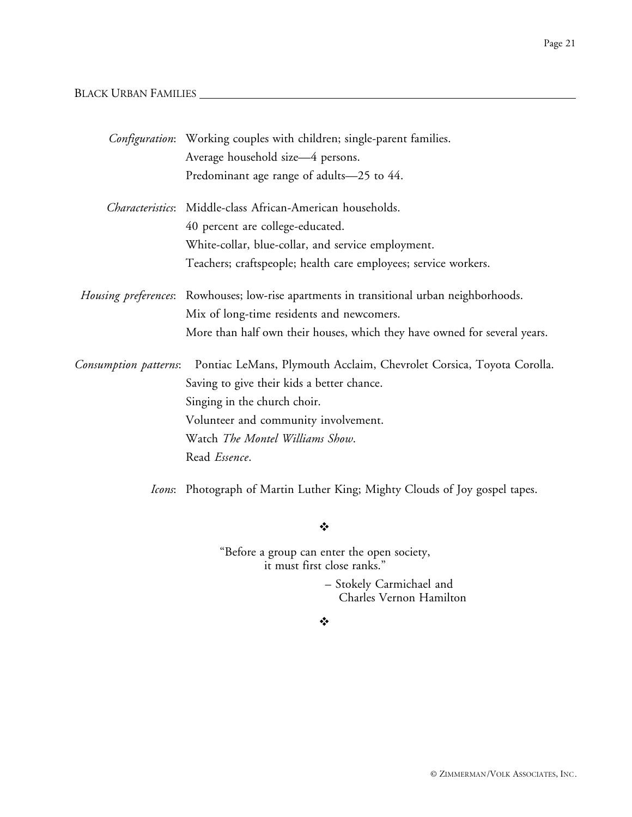#### BLACK URBAN FAMILIES

|                       | Configuration: Working couples with children; single-parent families.                    |
|-----------------------|------------------------------------------------------------------------------------------|
|                       | Average household size-4 persons.                                                        |
|                       | Predominant age range of adults-25 to 44.                                                |
|                       | <i>Characteristics</i> : Middle-class African-American households.                       |
|                       | 40 percent are college-educated.                                                         |
|                       | White-collar, blue-collar, and service employment.                                       |
|                       | Teachers; craftspeople; health care employees; service workers.                          |
|                       | Housing preferences: Rowhouses; low-rise apartments in transitional urban neighborhoods. |
|                       | Mix of long-time residents and newcomers.                                                |
|                       | More than half own their houses, which they have owned for several years.                |
| Consumption patterns: | Pontiac LeMans, Plymouth Acclaim, Chevrolet Corsica, Toyota Corolla.                     |
|                       | Saving to give their kids a better chance.                                               |
|                       | Singing in the church choir.                                                             |
|                       | Volunteer and community involvement.                                                     |
|                       | Watch The Montel Williams Show.                                                          |
|                       | Read Essence.                                                                            |
|                       |                                                                                          |

*Icons*: Photograph of Martin Luther King; Mighty Clouds of Joy gospel tapes.

 $\ddot{\cdot}$ 

"Before a group can enter the open society, it must first close ranks."

> – Stokely Carmichael and Charles Vernon Hamilton

 $\frac{1}{2}$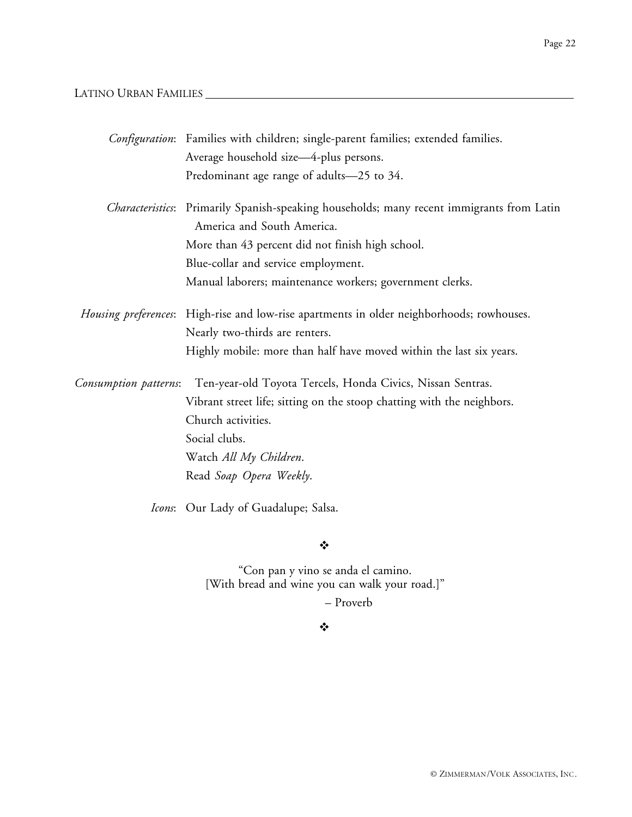## LATINO URBAN FAMILIES

|                       | Configuration: Families with children; single-parent families; extended families.                                               |
|-----------------------|---------------------------------------------------------------------------------------------------------------------------------|
|                       | Average household size-4-plus persons.                                                                                          |
|                       | Predominant age range of adults-25 to 34.                                                                                       |
|                       | <i>Characteristics</i> : Primarily Spanish-speaking households; many recent immigrants from Latin<br>America and South America. |
|                       | More than 43 percent did not finish high school.                                                                                |
|                       | Blue-collar and service employment.                                                                                             |
|                       | Manual laborers; maintenance workers; government clerks.                                                                        |
|                       | Housing preferences: High-rise and low-rise apartments in older neighborhoods; rowhouses.                                       |
|                       | Nearly two-thirds are renters.                                                                                                  |
|                       | Highly mobile: more than half have moved within the last six years.                                                             |
| Consumption patterns: | Ten-year-old Toyota Tercels, Honda Civics, Nissan Sentras.                                                                      |
|                       | Vibrant street life; sitting on the stoop chatting with the neighbors.                                                          |
|                       | Church activities.                                                                                                              |
|                       | Social clubs.                                                                                                                   |
|                       | Watch All My Children.                                                                                                          |
|                       | Read Soap Opera Weekly.                                                                                                         |
|                       | Icons: Our Lady of Guadalupe; Salsa.                                                                                            |
|                       |                                                                                                                                 |

❖

"Con pan y vino se anda el camino. [With bread and wine you can walk your road.]"

– Proverb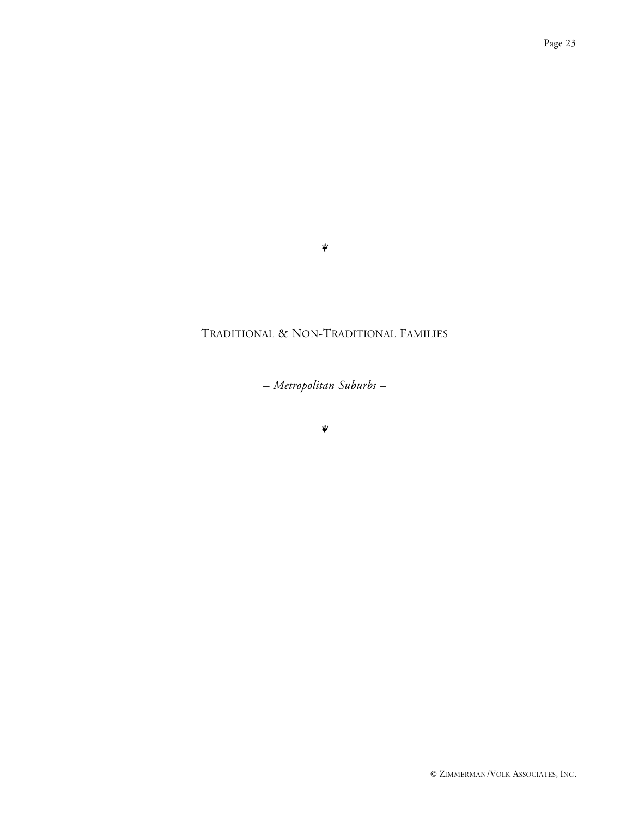#### $\ddot{\phi}$

## TRADITIONAL & NON-TRADITIONAL FAMILIES

*– Metropolitan Suburbs –*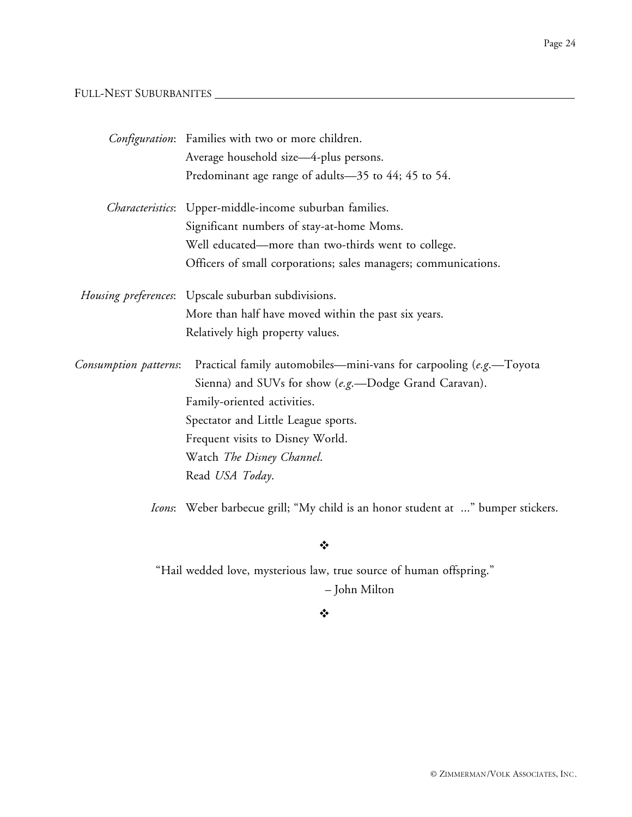## FULL-NEST SUBURBANITES

|                       | Configuration: Families with two or more children.                               |
|-----------------------|----------------------------------------------------------------------------------|
|                       | Average household size-4-plus persons.                                           |
|                       | Predominant age range of adults-35 to 44; 45 to 54.                              |
|                       | Characteristics: Upper-middle-income suburban families.                          |
|                       | Significant numbers of stay-at-home Moms.                                        |
|                       | Well educated—more than two-thirds went to college.                              |
|                       | Officers of small corporations; sales managers; communications.                  |
|                       | Housing preferences: Upscale suburban subdivisions.                              |
|                       | More than half have moved within the past six years.                             |
|                       | Relatively high property values.                                                 |
| Consumption patterns: | Practical family automobiles—mini-vans for carpooling (e.g.—Toyota               |
|                       | Sienna) and SUVs for show (e.g.-Dodge Grand Caravan).                            |
|                       | Family-oriented activities.                                                      |
|                       | Spectator and Little League sports.                                              |
|                       | Frequent visits to Disney World.                                                 |
|                       | Watch The Disney Channel.                                                        |
|                       | Read USA Today.                                                                  |
|                       | Icons: Weber barbecue grill; "My child is an honor student at " bumper stickers. |

 $\ddot{\cdot}$ 

"Hail wedded love, mysterious law, true source of human offspring." – John Milton

#### $\ddot{\cdot}$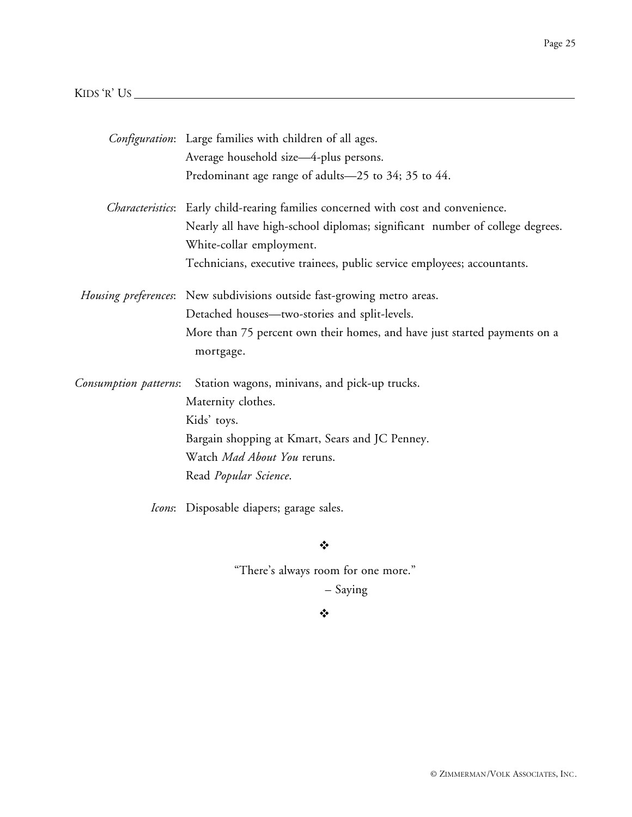## KIDS 'R' US

|                       | Configuration: Large families with children of all ages.                                   |
|-----------------------|--------------------------------------------------------------------------------------------|
|                       | Average household size-4-plus persons.                                                     |
|                       | Predominant age range of adults-25 to 34; 35 to 44.                                        |
|                       | <i>Characteristics</i> : Early child-rearing families concerned with cost and convenience. |
|                       | Nearly all have high-school diplomas; significant number of college degrees.               |
|                       | White-collar employment.                                                                   |
|                       | Technicians, executive trainees, public service employees; accountants.                    |
|                       | Housing preferences: New subdivisions outside fast-growing metro areas.                    |
|                       | Detached houses—two-stories and split-levels.                                              |
|                       | More than 75 percent own their homes, and have just started payments on a                  |
|                       | mortgage.                                                                                  |
| Consumption patterns: | Station wagons, minivans, and pick-up trucks.                                              |
|                       | Maternity clothes.                                                                         |
|                       | Kids' toys.                                                                                |
|                       | Bargain shopping at Kmart, Sears and JC Penney.                                            |
|                       | Watch <i>Mad About You</i> reruns.                                                         |
|                       | Read <i>Popular Science</i> .                                                              |
|                       | <i>Icons</i> : Disposable diapers; garage sales.                                           |

 $\ddot{\bullet}$ 

"There's always room for one more."

– Saying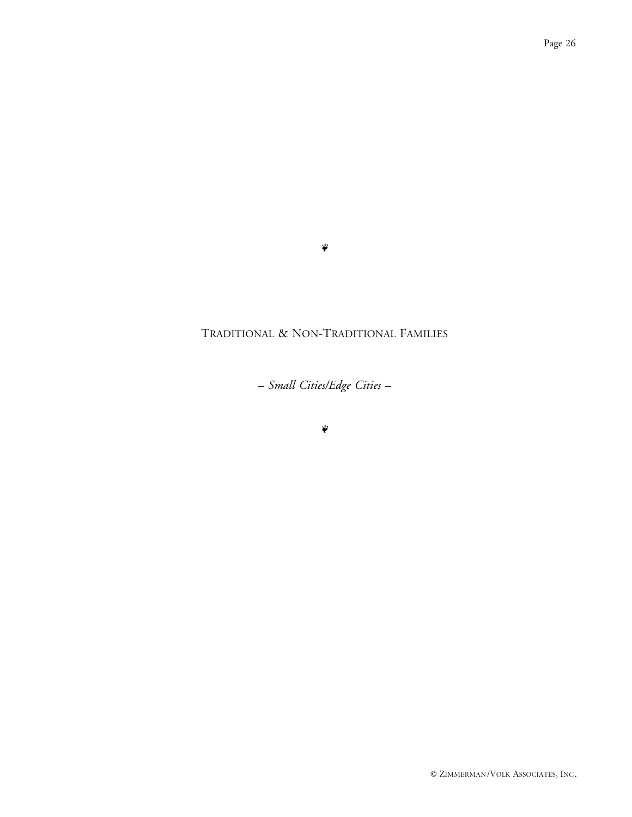#### $\ddot{\phi}$

## TRADITIONAL & NON-TRADITIONAL FAMILIES

*– Small Cities/Edge Cities –*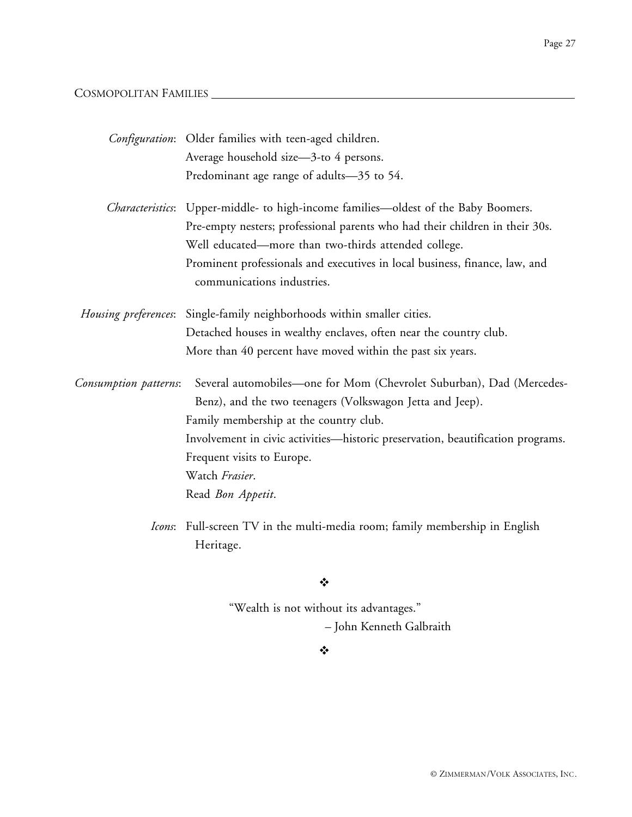## COSMOPOLITAN FAMILIES

|                       | Configuration: Older families with teen-aged children.                                                                                                                                                                                                                                                                              |
|-----------------------|-------------------------------------------------------------------------------------------------------------------------------------------------------------------------------------------------------------------------------------------------------------------------------------------------------------------------------------|
|                       | Average household size-3-to 4 persons.                                                                                                                                                                                                                                                                                              |
|                       | Predominant age range of adults-35 to 54.                                                                                                                                                                                                                                                                                           |
|                       | <i>Characteristics</i> : Upper-middle- to high-income families—oldest of the Baby Boomers.<br>Pre-empty nesters; professional parents who had their children in their 30s.<br>Well educated—more than two-thirds attended college.<br>Prominent professionals and executives in local business, finance, law, and                   |
|                       | communications industries.                                                                                                                                                                                                                                                                                                          |
|                       | Housing preferences: Single-family neighborhoods within smaller cities.                                                                                                                                                                                                                                                             |
|                       | Detached houses in wealthy enclaves, often near the country club.                                                                                                                                                                                                                                                                   |
|                       | More than 40 percent have moved within the past six years.                                                                                                                                                                                                                                                                          |
| Consumption patterns: | Several automobiles-one for Mom (Chevrolet Suburban), Dad (Mercedes-<br>Benz), and the two teenagers (Volkswagon Jetta and Jeep).<br>Family membership at the country club.<br>Involvement in civic activities—historic preservation, beautification programs.<br>Frequent visits to Europe.<br>Watch Frasier.<br>Read Bon Appetit. |
|                       |                                                                                                                                                                                                                                                                                                                                     |
|                       | Icons: Full-screen TV in the multi-media room; family membership in English<br>Heritage.                                                                                                                                                                                                                                            |

## $\ddot{\bullet}$

"Wealth is not without its advantages." – John Kenneth Galbraith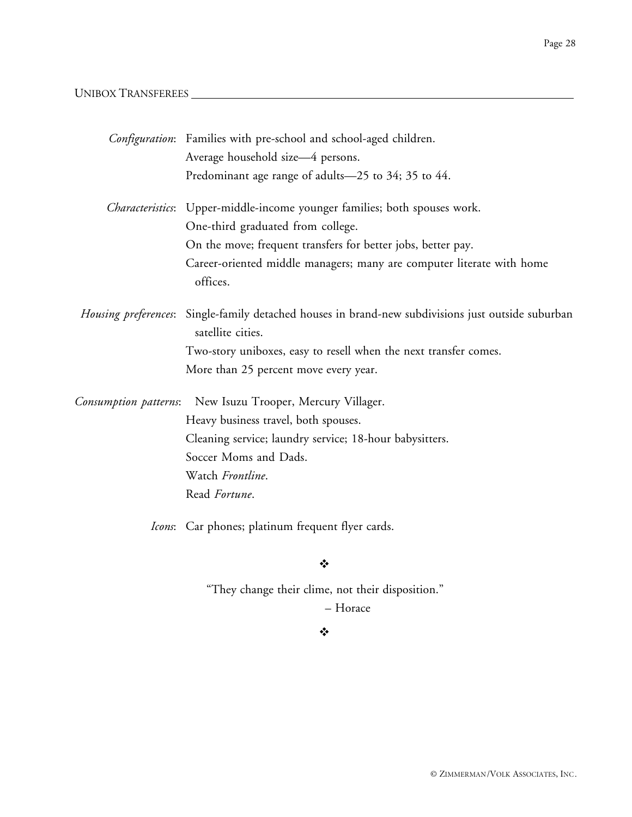## UNIBOX TRANSFEREES

|                       | Configuration: Families with pre-school and school-aged children.                                                       |
|-----------------------|-------------------------------------------------------------------------------------------------------------------------|
|                       | Average household size-4 persons.                                                                                       |
|                       | Predominant age range of adults-25 to 34; 35 to 44.                                                                     |
|                       | <i>Characteristics</i> : Upper-middle-income younger families; both spouses work.                                       |
|                       | One-third graduated from college.                                                                                       |
|                       | On the move; frequent transfers for better jobs, better pay.                                                            |
|                       | Career-oriented middle managers; many are computer literate with home<br>offices.                                       |
|                       | Housing preferences: Single-family detached houses in brand-new subdivisions just outside suburban<br>satellite cities. |
|                       | Two-story uniboxes, easy to resell when the next transfer comes.                                                        |
|                       | More than 25 percent move every year.                                                                                   |
| Consumption patterns: | New Isuzu Trooper, Mercury Villager.                                                                                    |
|                       | Heavy business travel, both spouses.                                                                                    |
|                       | Cleaning service; laundry service; 18-hour babysitters.                                                                 |
|                       | Soccer Moms and Dads.                                                                                                   |
|                       | Watch Frontline.                                                                                                        |
|                       | Read Fortune.                                                                                                           |
|                       | Icons: Car phones; platinum frequent flyer cards.                                                                       |
|                       | $\frac{1}{2}$                                                                                                           |
|                       | "They change their clime, not their disposition."                                                                       |
|                       | - Horace                                                                                                                |

#### $\ddot{\bullet}$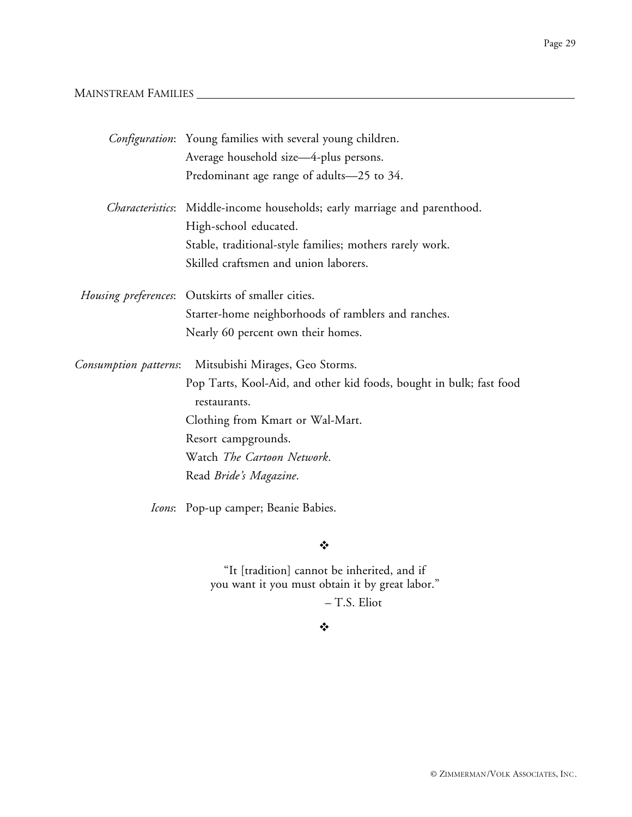#### MAINSTREAM FAMILIES

|  | <i>Configuration</i> : Young families with several young children.                  |
|--|-------------------------------------------------------------------------------------|
|  | Average household size-4-plus persons.                                              |
|  | Predominant age range of adults-25 to 34.                                           |
|  | Characteristics: Middle-income households; early marriage and parenthood.           |
|  | High-school educated.                                                               |
|  | Stable, traditional-style families; mothers rarely work.                            |
|  | Skilled craftsmen and union laborers.                                               |
|  | Housing preferences: Outskirts of smaller cities.                                   |
|  | Starter-home neighborhoods of ramblers and ranches.                                 |
|  | Nearly 60 percent own their homes.                                                  |
|  | Consumption patterns: Mitsubishi Mirages, Geo Storms.                               |
|  | Pop Tarts, Kool-Aid, and other kid foods, bought in bulk; fast food<br>restaurants. |
|  | Clothing from Kmart or Wal-Mart.                                                    |
|  | Resort campgrounds.                                                                 |
|  | Watch The Cartoon Network.                                                          |
|  | Read Bride's Magazine.                                                              |
|  | Icons: Pop-up camper; Beanie Babies.                                                |

 $\ddot{\cdot}$ 

"It [tradition] cannot be inherited, and if you want it you must obtain it by great labor."

– T.S. Eliot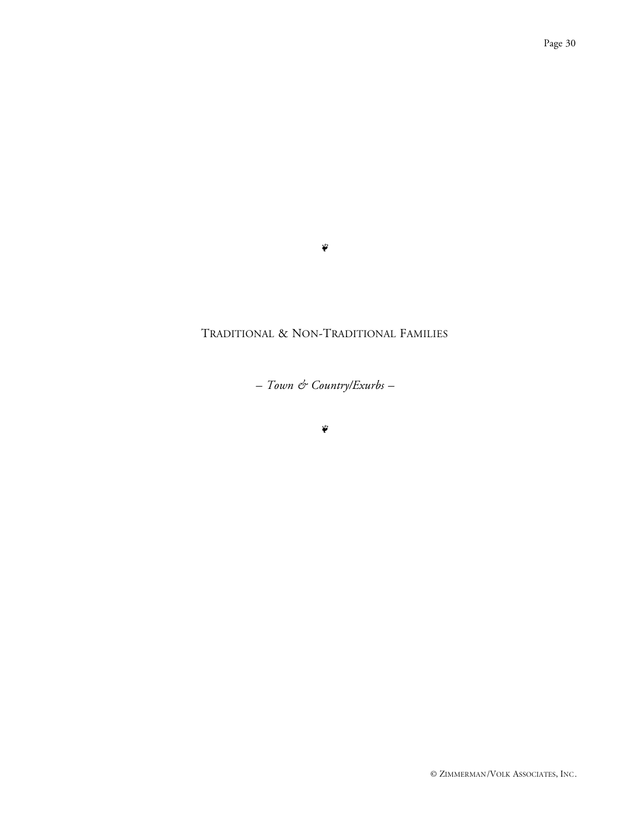#### $\tilde{\psi}$

## TRADITIONAL & NON-TRADITIONAL FAMILIES

*– Town & Country/Exurbs –*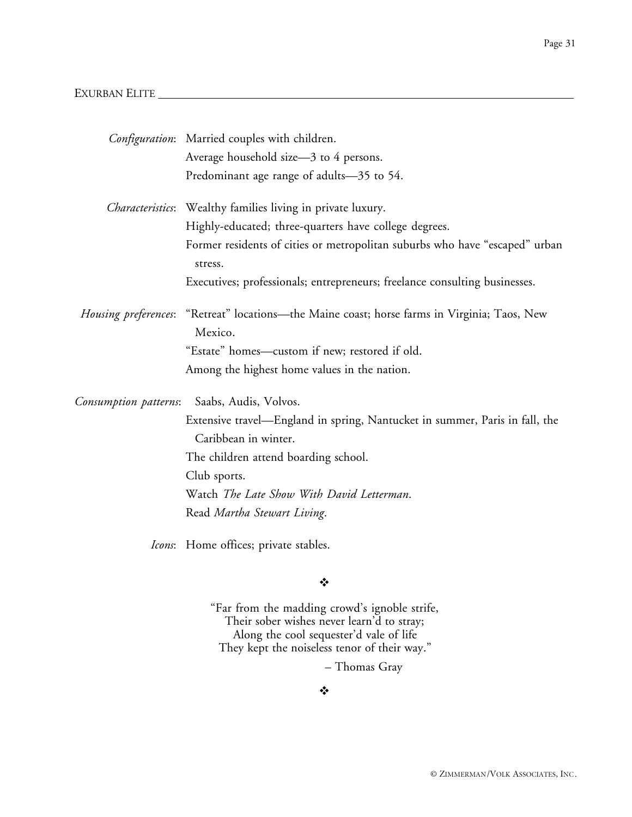#### EXURBAN ELITE

|                       | Configuration: Married couples with children.                                                                   |
|-----------------------|-----------------------------------------------------------------------------------------------------------------|
|                       | Average household size-3 to 4 persons.                                                                          |
|                       | Predominant age range of adults-35 to 54.                                                                       |
|                       | Characteristics: Wealthy families living in private luxury.                                                     |
|                       | Highly-educated; three-quarters have college degrees.                                                           |
|                       | Former residents of cities or metropolitan suburbs who have "escaped" urban<br>stress.                          |
|                       | Executives; professionals; entrepreneurs; freelance consulting businesses.                                      |
|                       | <i>Housing preferences</i> : "Retreat" locations—the Maine coast; horse farms in Virginia; Taos, New<br>Mexico. |
|                       | "Estate" homes-custom if new; restored if old.                                                                  |
|                       | Among the highest home values in the nation.                                                                    |
| Consumption patterns: | Saabs, Audis, Volvos.                                                                                           |
|                       | Extensive travel—England in spring, Nantucket in summer, Paris in fall, the                                     |
|                       | Caribbean in winter.                                                                                            |
|                       | The children attend boarding school.                                                                            |
|                       | Club sports.                                                                                                    |
|                       | Watch The Late Show With David Letterman.                                                                       |
|                       | Read Martha Stewart Living.                                                                                     |
|                       | Icons: Home offices; private stables.                                                                           |
|                       | ❖                                                                                                               |

"Far from the madding crowd's ignoble strife, Their sober wishes never learn'd to stray; Along the cool sequester'd vale of life

They kept the noiseless tenor of their way."

– Thomas Gray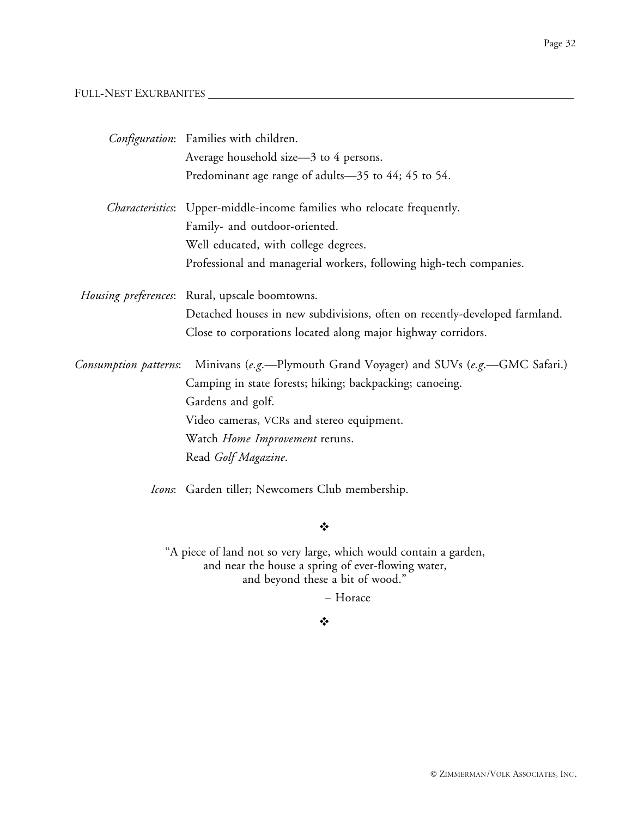#### FULL-NEST EXURBANITES

|                       | Configuration: Families with children.                                     |
|-----------------------|----------------------------------------------------------------------------|
|                       | Average household size-3 to 4 persons.                                     |
|                       | Predominant age range of adults-35 to 44; 45 to 54.                        |
|                       | Characteristics: Upper-middle-income families who relocate frequently.     |
|                       | Family- and outdoor-oriented.                                              |
|                       | Well educated, with college degrees.                                       |
|                       | Professional and managerial workers, following high-tech companies.        |
|                       | Housing preferences: Rural, upscale boomtowns.                             |
|                       | Detached houses in new subdivisions, often on recently-developed farmland. |
|                       | Close to corporations located along major highway corridors.               |
| Consumption patterns: | Minivans (e.g.-Plymouth Grand Voyager) and SUVs (e.g.-GMC Safari.)         |
|                       | Camping in state forests; hiking; backpacking; canoeing.                   |
|                       | Gardens and golf.                                                          |
|                       | Video cameras, VCRs and stereo equipment.                                  |
|                       | Watch Home Improvement reruns.                                             |
|                       | Read Golf Magazine.                                                        |
|                       | <i>Icons</i> : Garden tiller; Newcomers Club membership.                   |

#### $\ddot{\bullet}$

"A piece of land not so very large, which would contain a garden, and near the house a spring of ever-flowing water, and beyond these a bit of wood."

– Horace

#### $\frac{1}{2}$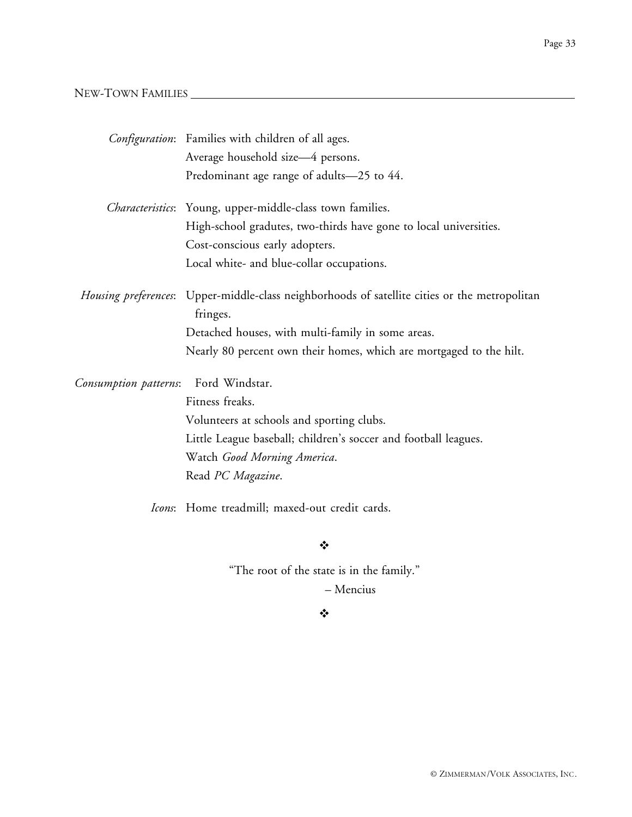## NEW-TOWN FAMILIES

|                       | Configuration: Families with children of all ages.                                                        |
|-----------------------|-----------------------------------------------------------------------------------------------------------|
|                       | Average household size-4 persons.                                                                         |
|                       | Predominant age range of adults-25 to 44.                                                                 |
|                       | <i>Characteristics</i> : Young, upper-middle-class town families.                                         |
|                       | High-school gradutes, two-thirds have gone to local universities.                                         |
|                       | Cost-conscious early adopters.                                                                            |
|                       | Local white- and blue-collar occupations.                                                                 |
|                       | Housing preferences: Upper-middle-class neighborhoods of satellite cities or the metropolitan<br>fringes. |
|                       | Detached houses, with multi-family in some areas.                                                         |
|                       | Nearly 80 percent own their homes, which are mortgaged to the hilt.                                       |
| Consumption patterns: | Ford Windstar.                                                                                            |
|                       | Fitness freaks.                                                                                           |
|                       | Volunteers at schools and sporting clubs.                                                                 |
|                       | Little League baseball; children's soccer and football leagues.                                           |
|                       | Watch Good Morning America.                                                                               |
|                       | Read PC Magazine.                                                                                         |
|                       | Icons: Home treadmill; maxed-out credit cards.                                                            |
|                       | ❖                                                                                                         |

"The root of the state is in the family." – Mencius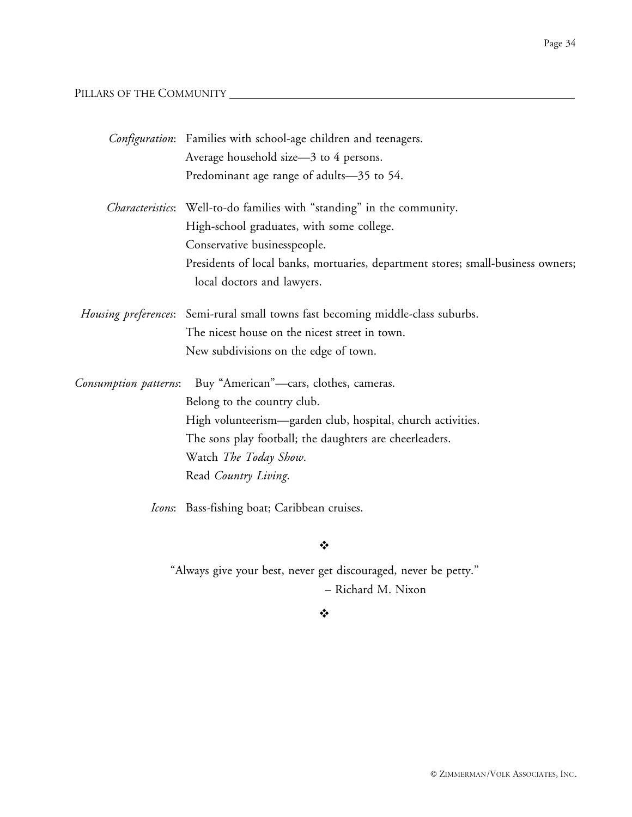## PILLARS OF THE COMMUNITY

|                       | Configuration: Families with school-age children and teenagers.                  |
|-----------------------|----------------------------------------------------------------------------------|
|                       | Average household size-3 to 4 persons.                                           |
|                       | Predominant age range of adults-35 to 54.                                        |
|                       | Characteristics: Well-to-do families with "standing" in the community.           |
|                       | High-school graduates, with some college.                                        |
|                       | Conservative businesspeople.                                                     |
|                       | Presidents of local banks, mortuaries, department stores; small-business owners; |
|                       | local doctors and lawyers.                                                       |
|                       | Housing preferences: Semi-rural small towns fast becoming middle-class suburbs.  |
|                       | The nicest house on the nicest street in town.                                   |
|                       | New subdivisions on the edge of town.                                            |
| Consumption patterns: | Buy "American"-cars, clothes, cameras.                                           |
|                       | Belong to the country club.                                                      |
|                       | High volunteerism—garden club, hospital, church activities.                      |
|                       | The sons play football; the daughters are cheerleaders.                          |
|                       | Watch The Today Show.                                                            |
|                       | Read Country Living.                                                             |
|                       | Icons: Bass-fishing boat; Caribbean cruises.                                     |
|                       | ❖                                                                                |
|                       | "Always give your best, never get discouraged, never be petty."                  |

– Richard M. Nixon

#### $\ddot{\bullet}$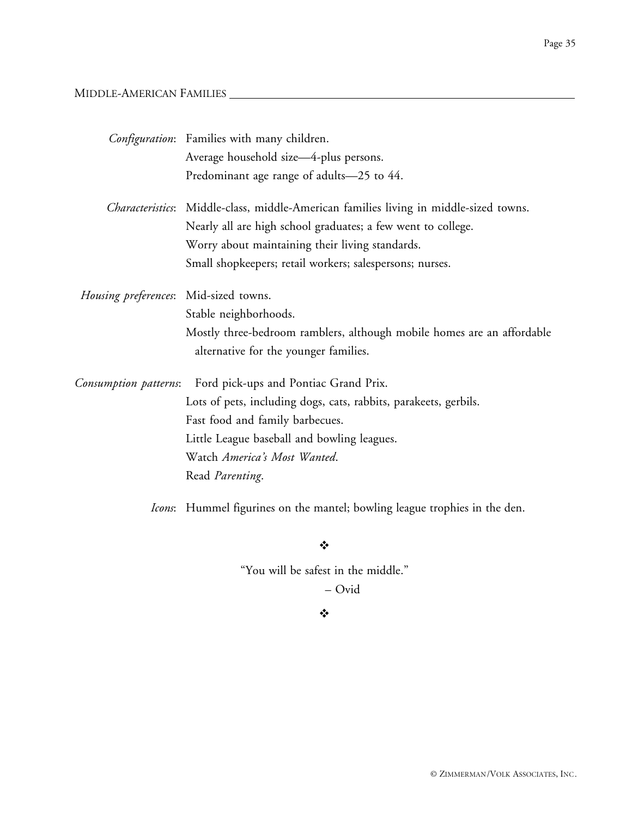## MIDDLE-AMERICAN FAMILIES

|                                       | Configuration: Families with many children.                                           |
|---------------------------------------|---------------------------------------------------------------------------------------|
|                                       | Average household size-4-plus persons.                                                |
|                                       | Predominant age range of adults-25 to 44.                                             |
|                                       | Characteristics: Middle-class, middle-American families living in middle-sized towns. |
|                                       | Nearly all are high school graduates; a few went to college.                          |
|                                       | Worry about maintaining their living standards.                                       |
|                                       | Small shopkeepers; retail workers; salespersons; nurses.                              |
| Housing preferences: Mid-sized towns. |                                                                                       |
|                                       | Stable neighborhoods.                                                                 |
|                                       | Mostly three-bedroom ramblers, although mobile homes are an affordable                |
|                                       | alternative for the younger families.                                                 |
| Consumption patterns:                 | Ford pick-ups and Pontiac Grand Prix.                                                 |
|                                       | Lots of pets, including dogs, cats, rabbits, parakeets, gerbils.                      |
|                                       | Fast food and family barbecues.                                                       |
|                                       | Little League baseball and bowling leagues.                                           |
|                                       | Watch America's Most Wanted.                                                          |
|                                       | Read Parenting.                                                                       |
|                                       | Icons: Hummel figurines on the mantel; bowling league trophies in the den.            |

 $\bullet^{\bullet}_{\bullet} \bullet$ 

"You will be safest in the middle."

– Ovid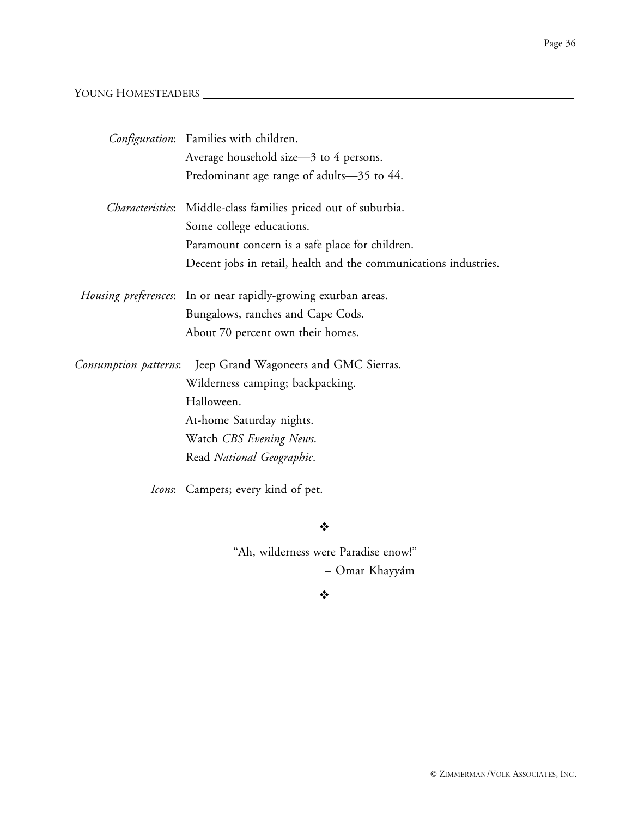## YOUNG HOMESTEADERS

|                       | Configuration: Families with children.                                 |
|-----------------------|------------------------------------------------------------------------|
|                       | Average household size-3 to 4 persons.                                 |
|                       | Predominant age range of adults-35 to 44.                              |
|                       | Characteristics: Middle-class families priced out of suburbia.         |
|                       | Some college educations.                                               |
|                       | Paramount concern is a safe place for children.                        |
|                       | Decent jobs in retail, health and the communications industries.       |
|                       | <i>Housing preferences</i> : In or near rapidly-growing exurban areas. |
|                       | Bungalows, ranches and Cape Cods.                                      |
|                       | About 70 percent own their homes.                                      |
| Consumption patterns: | Jeep Grand Wagoneers and GMC Sierras.                                  |
|                       | Wilderness camping; backpacking.                                       |
|                       | Halloween.                                                             |
|                       | At-home Saturday nights.                                               |
|                       | Watch CBS Evening News.                                                |
|                       | Read National Geographic.                                              |
|                       | Icons: Campers; every kind of pet.                                     |

#### $\ddot{\cdot}$

"Ah, wilderness were Paradise enow!" – Omar Khayyám

#### $\bullet$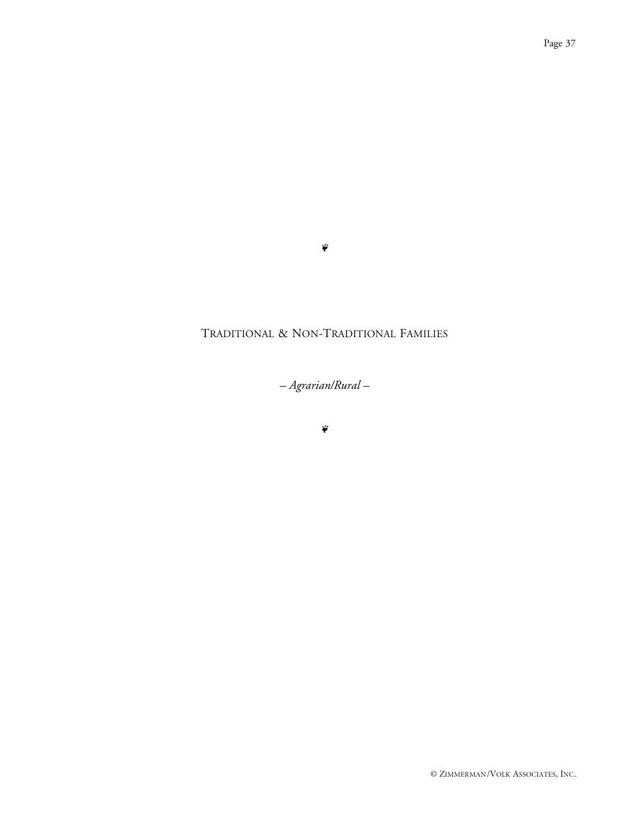#### $\ddot{\phi}$

## TRADITIONAL & NON-TRADITIONAL FAMILIES

*– Agrarian/Rural –*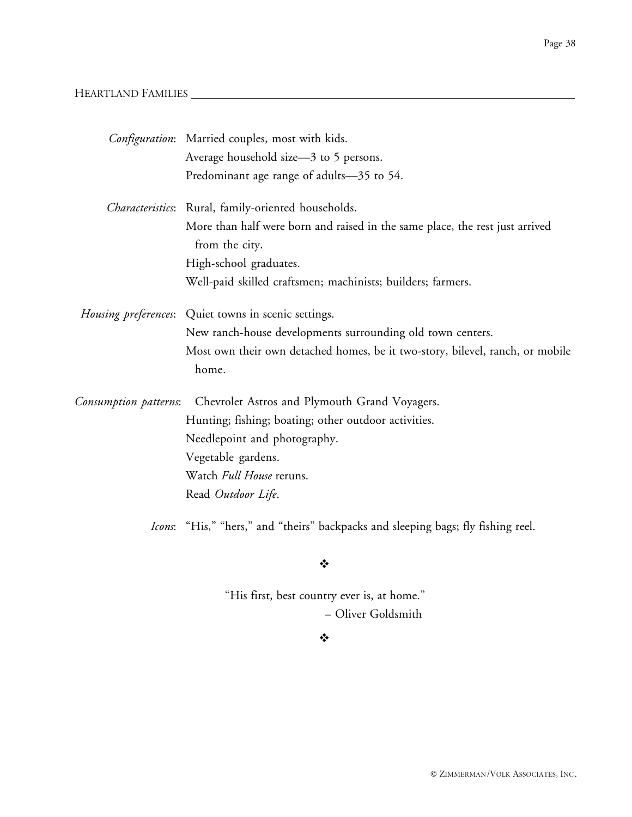## HEARTLAND FAMILIES

|                       | Configuration: Married couples, most with kids.                                                |
|-----------------------|------------------------------------------------------------------------------------------------|
|                       | Average household size-3 to 5 persons.                                                         |
|                       | Predominant age range of adults-35 to 54.                                                      |
|                       | Characteristics: Rural, family-oriented households.                                            |
|                       | More than half were born and raised in the same place, the rest just arrived<br>from the city. |
|                       | High-school graduates.                                                                         |
|                       | Well-paid skilled craftsmen; machinists; builders; farmers.                                    |
|                       | Housing preferences: Quiet towns in scenic settings.                                           |
|                       | New ranch-house developments surrounding old town centers.                                     |
|                       | Most own their own detached homes, be it two-story, bilevel, ranch, or mobile                  |
|                       | home.                                                                                          |
| Consumption patterns: | Chevrolet Astros and Plymouth Grand Voyagers.                                                  |
|                       | Hunting; fishing; boating; other outdoor activities.                                           |
|                       | Needlepoint and photography.                                                                   |
|                       | Vegetable gardens.                                                                             |
|                       | Watch Full House reruns.                                                                       |
|                       | Read Outdoor Life.                                                                             |
|                       | Icons: "His," "hers," and "theirs" backpacks and sleeping bags; fly fishing reel.              |

 $\bullet^{\bullet}_{\bullet} \bullet$ 

"His first, best country ever is, at home." – Oliver Goldsmith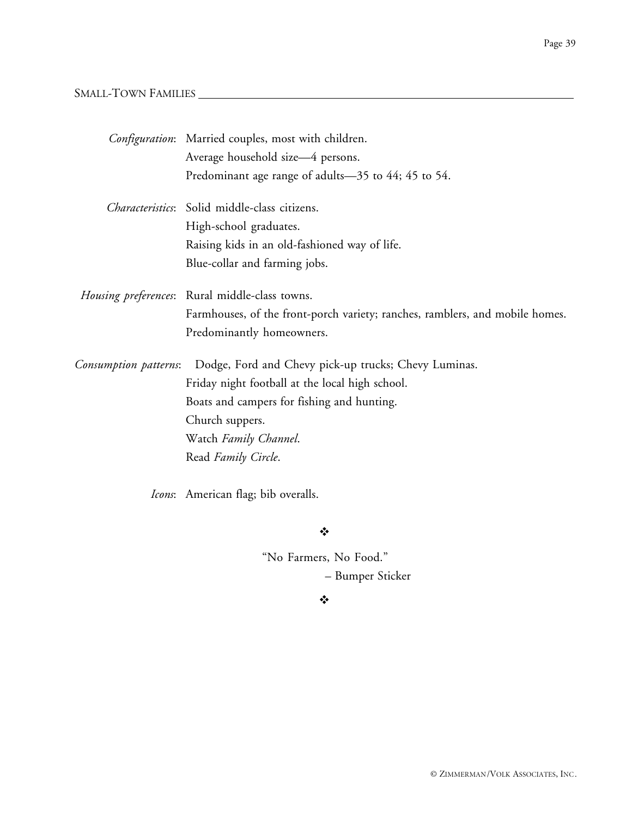## SMALL-TOWN FAMILIES

|                       | Configuration: Married couples, most with children.                          |
|-----------------------|------------------------------------------------------------------------------|
|                       | Average household size-4 persons.                                            |
|                       | Predominant age range of adults-35 to 44; 45 to 54.                          |
|                       | Characteristics: Solid middle-class citizens.                                |
|                       | High-school graduates.                                                       |
|                       | Raising kids in an old-fashioned way of life.                                |
|                       | Blue-collar and farming jobs.                                                |
|                       | Housing preferences: Rural middle-class towns.                               |
|                       | Farmhouses, of the front-porch variety; ranches, ramblers, and mobile homes. |
|                       | Predominantly homeowners.                                                    |
| Consumption patterns: | Dodge, Ford and Chevy pick-up trucks; Chevy Luminas.                         |
|                       | Friday night football at the local high school.                              |
|                       | Boats and campers for fishing and hunting.                                   |
|                       | Church suppers.                                                              |
|                       | Watch Family Channel.                                                        |
|                       | Read Family Circle.                                                          |
|                       |                                                                              |

*Icons*: American flag; bib overalls.

 $\ddot{\cdot}$ 

"No Farmers, No Food." – Bumper Sticker

 $\ddot{\cdot}$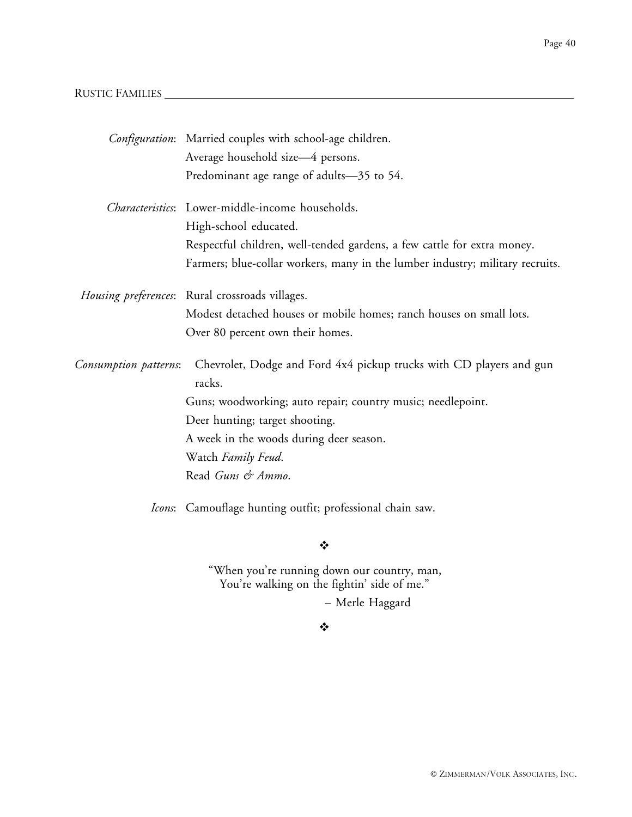## RUSTIC FAMILIES

|                       | Configuration: Married couples with school-age children.                                   |
|-----------------------|--------------------------------------------------------------------------------------------|
|                       | Average household size-4 persons.                                                          |
|                       | Predominant age range of adults-35 to 54.                                                  |
|                       | Characteristics: Lower-middle-income households.                                           |
|                       | High-school educated.                                                                      |
|                       | Respectful children, well-tended gardens, a few cattle for extra money.                    |
|                       | Farmers; blue-collar workers, many in the lumber industry; military recruits.              |
|                       | Housing preferences: Rural crossroads villages.                                            |
|                       | Modest detached houses or mobile homes; ranch houses on small lots.                        |
|                       | Over 80 percent own their homes.                                                           |
| Consumption patterns: | Chevrolet, Dodge and Ford 4x4 pickup trucks with CD players and gun<br>racks.              |
|                       | Guns; woodworking; auto repair; country music; needlepoint.                                |
|                       | Deer hunting; target shooting.                                                             |
|                       | A week in the woods during deer season.                                                    |
|                       | Watch Family Feud.                                                                         |
|                       | Read Guns & Ammo.                                                                          |
|                       | Icons: Camouflage hunting outfit; professional chain saw.                                  |
|                       | ❖                                                                                          |
|                       | "When you're running down our country, man,<br>You're walking on the fightin' side of me." |

– Merle Haggard

## $\frac{1}{2}$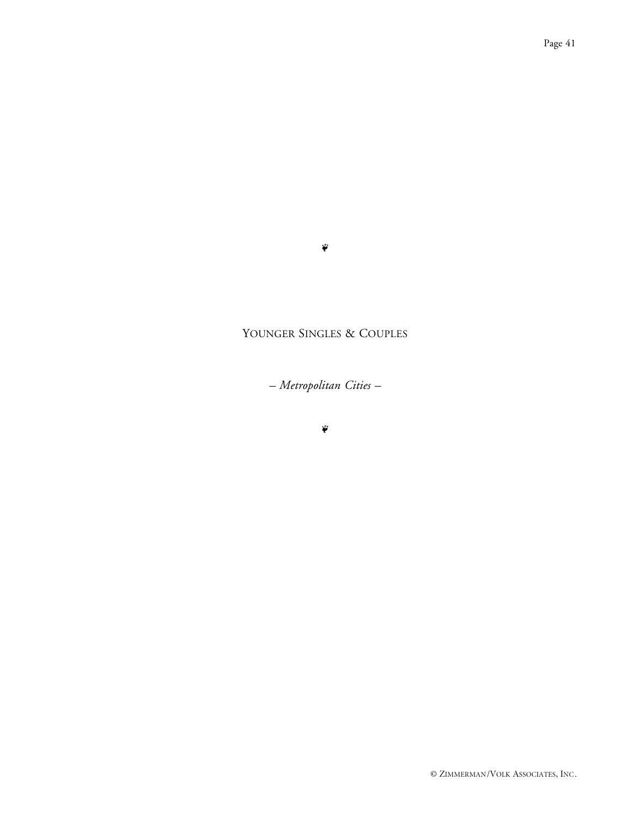#### $\tilde{\psi}$

## YOUNGER SINGLES & COUPLES

*– Metropolitan Cities –*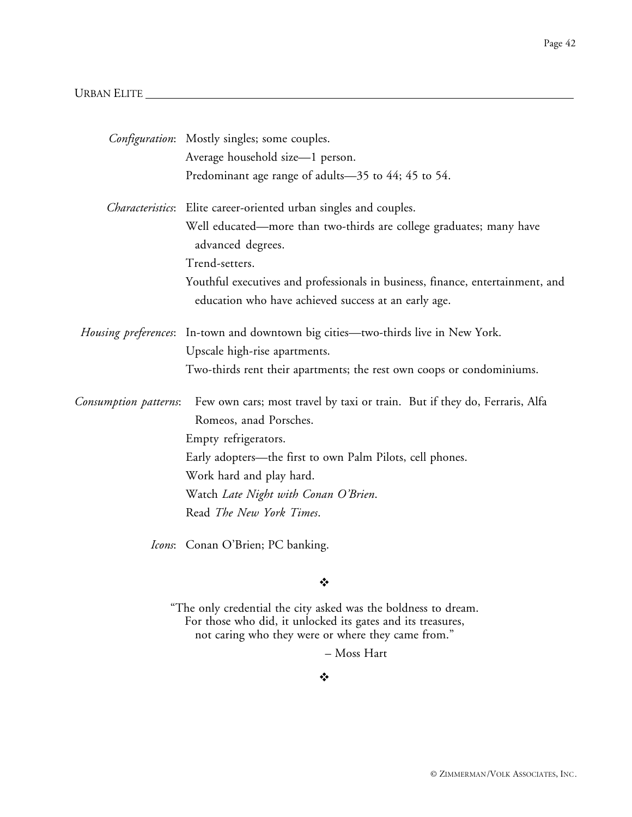#### URBAN ELITE

|                       | Configuration: Mostly singles; some couples.                                             |
|-----------------------|------------------------------------------------------------------------------------------|
|                       | Average household size-1 person.                                                         |
|                       | Predominant age range of adults-35 to 44; 45 to 54.                                      |
|                       | Characteristics: Elite career-oriented urban singles and couples.                        |
|                       | Well educated—more than two-thirds are college graduates; many have<br>advanced degrees. |
|                       | Trend-setters.                                                                           |
|                       | Youthful executives and professionals in business, finance, entertainment, and           |
|                       | education who have achieved success at an early age.                                     |
|                       | Housing preferences: In-town and downtown big cities—two-thirds live in New York.        |
|                       | Upscale high-rise apartments.                                                            |
|                       | Two-thirds rent their apartments; the rest own coops or condominiums.                    |
| Consumption patterns: | Few own cars; most travel by taxi or train. But if they do, Ferraris, Alfa               |
|                       | Romeos, anad Porsches.                                                                   |
|                       | Empty refrigerators.                                                                     |
|                       | Early adopters—the first to own Palm Pilots, cell phones.                                |
|                       | Work hard and play hard.                                                                 |
|                       | Watch Late Night with Conan O'Brien.                                                     |
|                       | Read The New York Times.                                                                 |
|                       | Icons: Conan O'Brien; PC banking.                                                        |

#### $\ddot{\bullet}$

"The only credential the city asked was the boldness to dream. For those who did, it unlocked its gates and its treasures, not caring who they were or where they came from."

– Moss Hart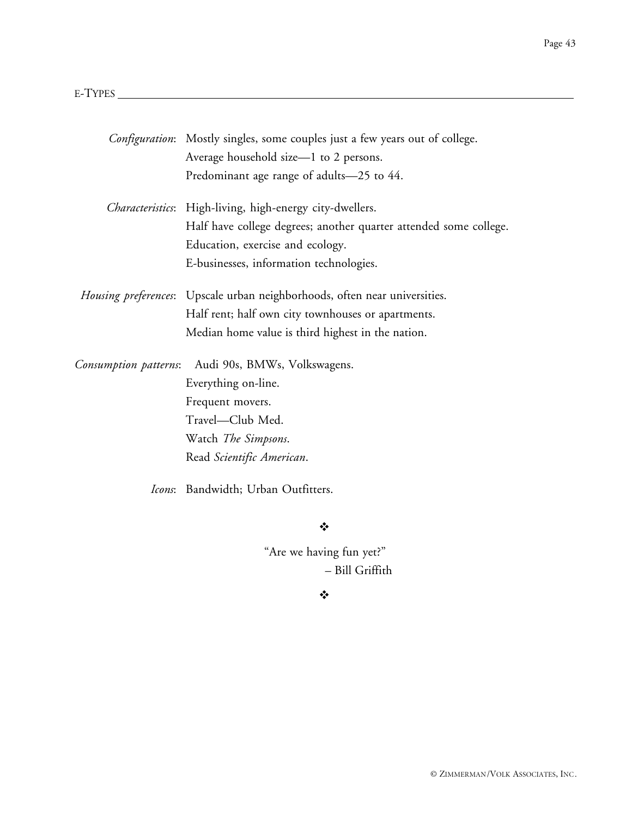|                       | Configuration: Mostly singles, some couples just a few years out of college. |
|-----------------------|------------------------------------------------------------------------------|
|                       | Average household size-1 to 2 persons.                                       |
|                       | Predominant age range of adults-25 to 44.                                    |
|                       | Characteristics: High-living, high-energy city-dwellers.                     |
|                       | Half have college degrees; another quarter attended some college.            |
|                       | Education, exercise and ecology.                                             |
|                       | E-businesses, information technologies.                                      |
|                       | Housing preferences: Upscale urban neighborhoods, often near universities.   |
|                       | Half rent; half own city townhouses or apartments.                           |
|                       | Median home value is third highest in the nation.                            |
| Consumption patterns: | Audi 90s, BMWs, Volkswagens.                                                 |
|                       | Everything on-line.                                                          |
|                       | Frequent movers.                                                             |
|                       | Travel-Club Med.                                                             |
|                       | Watch The Simpsons.                                                          |
|                       | Read Scientific American.                                                    |
|                       | Icons: Bandwidth; Urban Outfitters.                                          |

### $\ddot{\bullet}$

"Are we having fun yet?" – Bill Griffith

 $\bullet \bullet \bullet$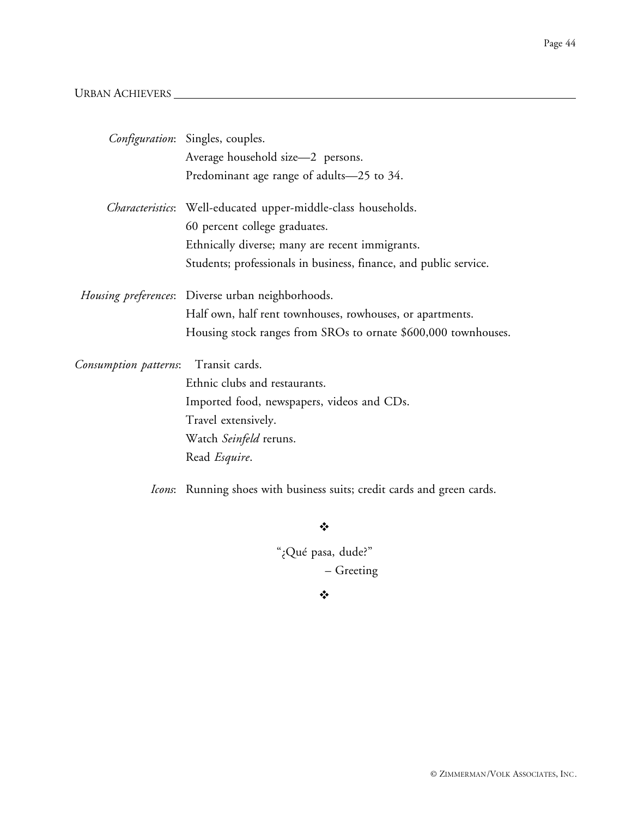## URBAN ACHIEVERS

|                       | Configuration: Singles, couples.                                      |
|-----------------------|-----------------------------------------------------------------------|
|                       | Average household size-2 persons.                                     |
|                       | Predominant age range of adults-25 to 34.                             |
|                       | <i>Characteristics</i> : Well-educated upper-middle-class households. |
|                       | 60 percent college graduates.                                         |
|                       | Ethnically diverse; many are recent immigrants.                       |
|                       | Students; professionals in business, finance, and public service.     |
|                       | <i>Housing preferences</i> : Diverse urban neighborhoods.             |
|                       | Half own, half rent townhouses, rowhouses, or apartments.             |
|                       | Housing stock ranges from SROs to ornate \$600,000 townhouses.        |
| Consumption patterns: | Transit cards.                                                        |
|                       | Ethnic clubs and restaurants.                                         |
|                       | Imported food, newspapers, videos and CDs.                            |
|                       | Travel extensively.                                                   |
|                       | Watch Seinfeld reruns.                                                |
|                       | Read <i>Esquire</i> .                                                 |

*Icons*: Running shoes with business suits; credit cards and green cards.

❖

"¿Qué pasa, dude?" – Greeting

 $\frac{1}{2}$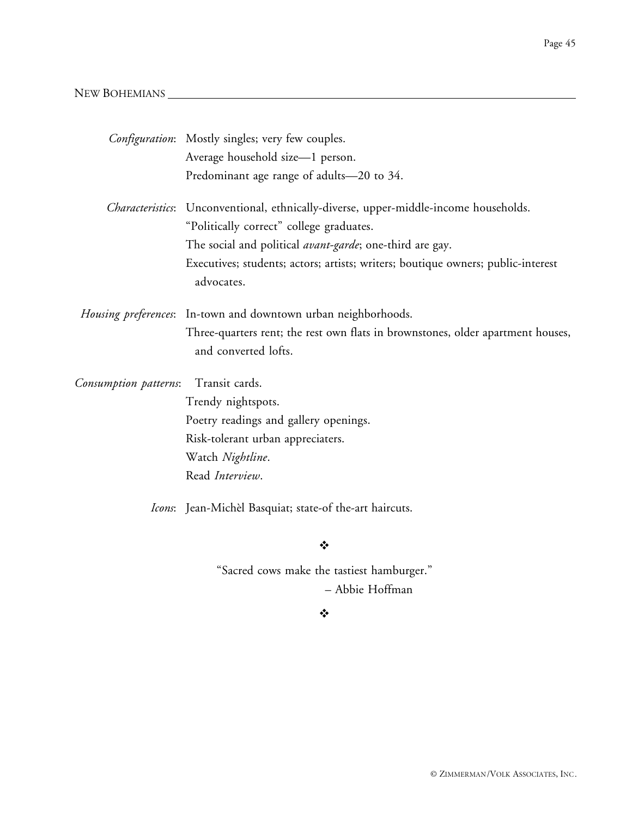## NEW BOHEMIANS

|                                         | Configuration: Mostly singles; very few couples.                                                        |
|-----------------------------------------|---------------------------------------------------------------------------------------------------------|
|                                         | Average household size-1 person.                                                                        |
|                                         | Predominant age range of adults-20 to 34.                                                               |
|                                         | Characteristics: Unconventional, ethnically-diverse, upper-middle-income households.                    |
|                                         | "Politically correct" college graduates.                                                                |
|                                         | The social and political <i>avant-garde</i> ; one-third are gay.                                        |
|                                         | Executives; students; actors; artists; writers; boutique owners; public-interest<br>advocates.          |
|                                         | Housing preferences: In-town and downtown urban neighborhoods.                                          |
|                                         | Three-quarters rent; the rest own flats in brownstones, older apartment houses,<br>and converted lofts. |
| Transit cards.<br>Consumption patterns: |                                                                                                         |
|                                         | Trendy nightspots.                                                                                      |
|                                         | Poetry readings and gallery openings.                                                                   |
|                                         | Risk-tolerant urban appreciaters.                                                                       |
|                                         | Watch Nightline.                                                                                        |
|                                         | Read Interview.                                                                                         |
|                                         | <i>Icons</i> : Jean-Michèl Basquiat; state-of the-art haircuts.                                         |

 $\ddot{\bullet}$ 

"Sacred cows make the tastiest hamburger." – Abbie Hoffman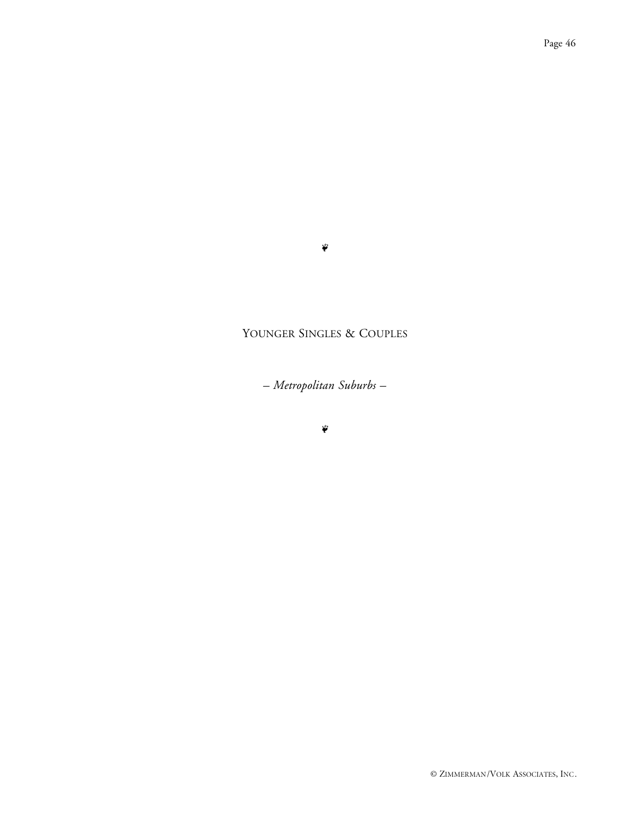#### $\tilde{\psi}$

## YOUNGER SINGLES & COUPLES

*– Metropolitan Suburbs –*

 $\ddot{\ddot{\bullet}}$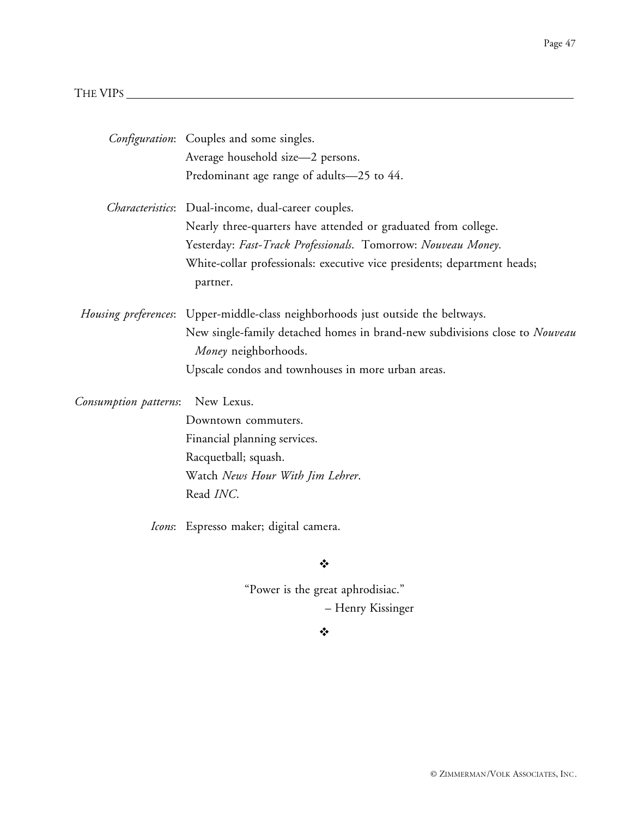## THE VIPS  $\overline{\phantom{a}}$

|                                     | Configuration: Couples and some singles.                                                            |  |  |
|-------------------------------------|-----------------------------------------------------------------------------------------------------|--|--|
|                                     | Average household size-2 persons.                                                                   |  |  |
|                                     | Predominant age range of adults-25 to 44.                                                           |  |  |
|                                     | Characteristics: Dual-income, dual-career couples.                                                  |  |  |
|                                     | Nearly three-quarters have attended or graduated from college.                                      |  |  |
|                                     | Yesterday: Fast-Track Professionals. Tomorrow: Nouveau Money.                                       |  |  |
|                                     | White-collar professionals: executive vice presidents; department heads;<br>partner.                |  |  |
|                                     | <i>Housing preferences</i> : Upper-middle-class neighborhoods just outside the beltways.            |  |  |
|                                     | New single-family detached homes in brand-new subdivisions close to Nouveau<br>Money neighborhoods. |  |  |
|                                     | Upscale condos and townhouses in more urban areas.                                                  |  |  |
| New Lexus.<br>Consumption patterns: |                                                                                                     |  |  |
|                                     | Downtown commuters.                                                                                 |  |  |
|                                     | Financial planning services.                                                                        |  |  |
|                                     | Racquetball; squash.                                                                                |  |  |
|                                     | Watch News Hour With Jim Lehrer.                                                                    |  |  |
|                                     | Read INC.                                                                                           |  |  |
|                                     | Icons: Espresso maker; digital camera.                                                              |  |  |
|                                     | ❖                                                                                                   |  |  |
| "Power is the great aphrodisiac."   |                                                                                                     |  |  |

## $\ddot{\bullet}$

– Henry Kissinger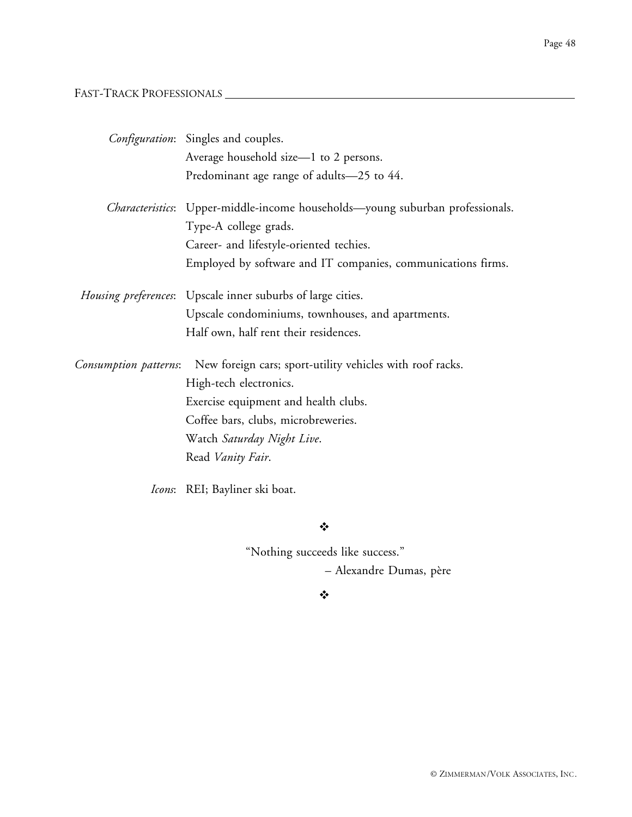FAST-TRACK PROFESSIONALS

|                       | <i>Configuration</i> : Singles and couples.                                           |
|-----------------------|---------------------------------------------------------------------------------------|
|                       | Average household size-1 to 2 persons.                                                |
|                       | Predominant age range of adults-25 to 44.                                             |
|                       | <i>Characteristics</i> : Upper-middle-income households—young suburban professionals. |
|                       | Type-A college grads.                                                                 |
|                       | Career- and lifestyle-oriented techies.                                               |
|                       | Employed by software and IT companies, communications firms.                          |
|                       | <i>Housing preferences</i> : Upscale inner suburbs of large cities.                   |
|                       | Upscale condominiums, townhouses, and apartments.                                     |
|                       | Half own, half rent their residences.                                                 |
| Consumption patterns: | New foreign cars; sport-utility vehicles with roof racks.                             |
|                       | High-tech electronics.                                                                |
|                       | Exercise equipment and health clubs.                                                  |
|                       | Coffee bars, clubs, microbreweries.                                                   |
|                       | Watch Saturday Night Live.                                                            |
|                       | Read Vanity Fair.                                                                     |
|                       |                                                                                       |

*Icons*: REI; Bayliner ski boat.

❖

"Nothing succeeds like success."

– Alexandre Dumas, père

 $\bullet$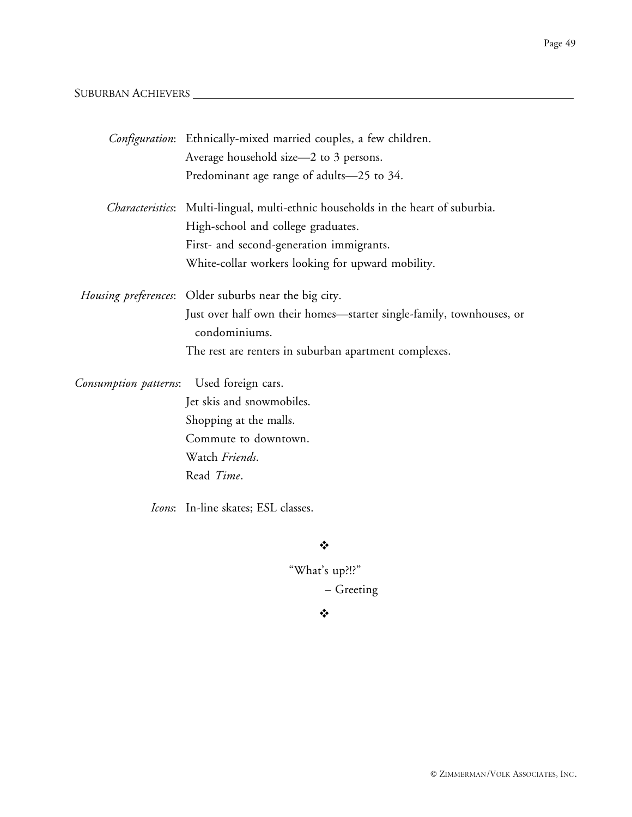## SUBURBAN ACHIEVERS

|                       | Configuration: Ethnically-mixed married couples, a few children.                      |
|-----------------------|---------------------------------------------------------------------------------------|
|                       | Average household size-2 to 3 persons.                                                |
|                       | Predominant age range of adults-25 to 34.                                             |
|                       | Characteristics: Multi-lingual, multi-ethnic households in the heart of suburbia.     |
|                       | High-school and college graduates.                                                    |
|                       | First- and second-generation immigrants.                                              |
|                       | White-collar workers looking for upward mobility.                                     |
|                       | Housing preferences: Older suburbs near the big city.                                 |
|                       | Just over half own their homes-starter single-family, townhouses, or<br>condominiums. |
|                       | The rest are renters in suburban apartment complexes.                                 |
| Consumption patterns: | Used foreign cars.                                                                    |
|                       | Jet skis and snowmobiles.                                                             |
|                       | Shopping at the malls.                                                                |
|                       | Commute to downtown.                                                                  |
|                       | Watch Friends.                                                                        |
|                       | Read Time.                                                                            |
|                       |                                                                                       |

*Icons*: In-line skates; ESL classes.

 $\bullet^{\bullet}_{\bullet} \bullet$ 

"What's up?!?" – Greeting

#### $\bullet$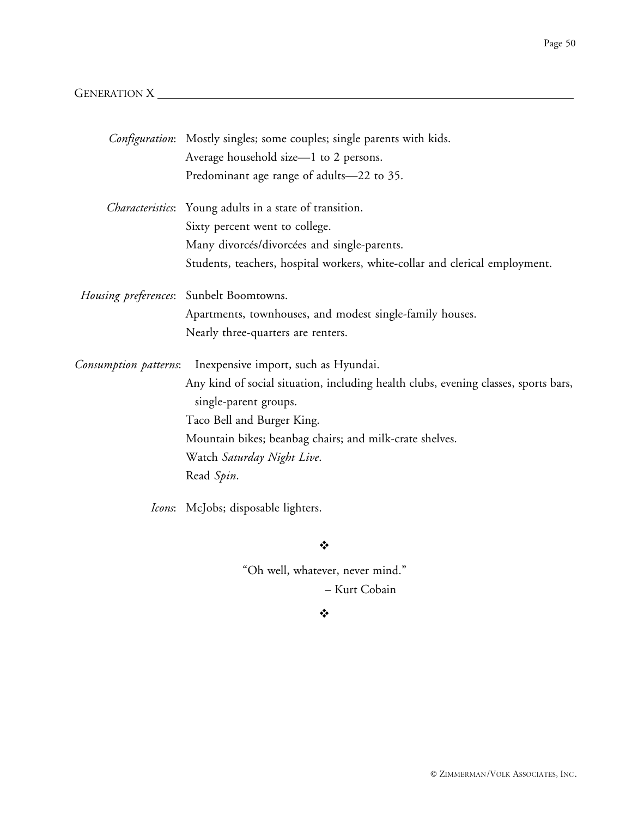## GENERATION X

|                       | <i>Configuration</i> : Mostly singles; some couples; single parents with kids.                               |
|-----------------------|--------------------------------------------------------------------------------------------------------------|
|                       | Average household size-1 to 2 persons.                                                                       |
|                       | Predominant age range of adults-22 to 35.                                                                    |
|                       | Characteristics: Young adults in a state of transition.                                                      |
|                       | Sixty percent went to college.                                                                               |
|                       | Many divorcés/divorcées and single-parents.                                                                  |
|                       | Students, teachers, hospital workers, white-collar and clerical employment.                                  |
|                       | Housing preferences: Sunbelt Boomtowns.                                                                      |
|                       | Apartments, townhouses, and modest single-family houses.                                                     |
|                       | Nearly three-quarters are renters.                                                                           |
| Consumption patterns: | Inexpensive import, such as Hyundai.                                                                         |
|                       | Any kind of social situation, including health clubs, evening classes, sports bars,<br>single-parent groups. |
|                       | Taco Bell and Burger King.                                                                                   |
|                       | Mountain bikes; beanbag chairs; and milk-crate shelves.                                                      |
|                       | Watch Saturday Night Live.                                                                                   |
|                       | Read Spin.                                                                                                   |
|                       | Icons: McJobs; disposable lighters.                                                                          |

 $\ddot{\bullet}$ 

"Oh well, whatever, never mind." – Kurt Cobain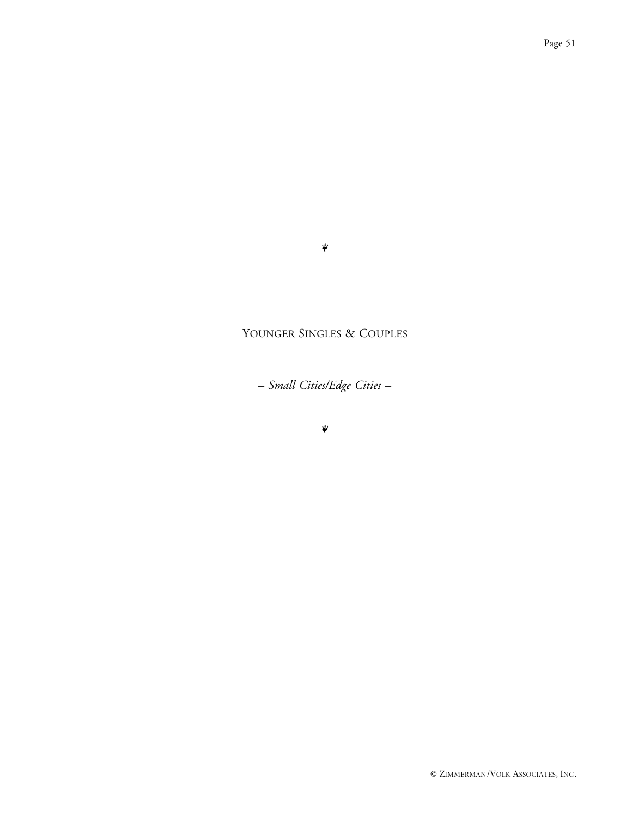#### $\ddot{\phi}$

## YOUNGER SINGLES & COUPLES

*– Small Cities/Edge Cities –*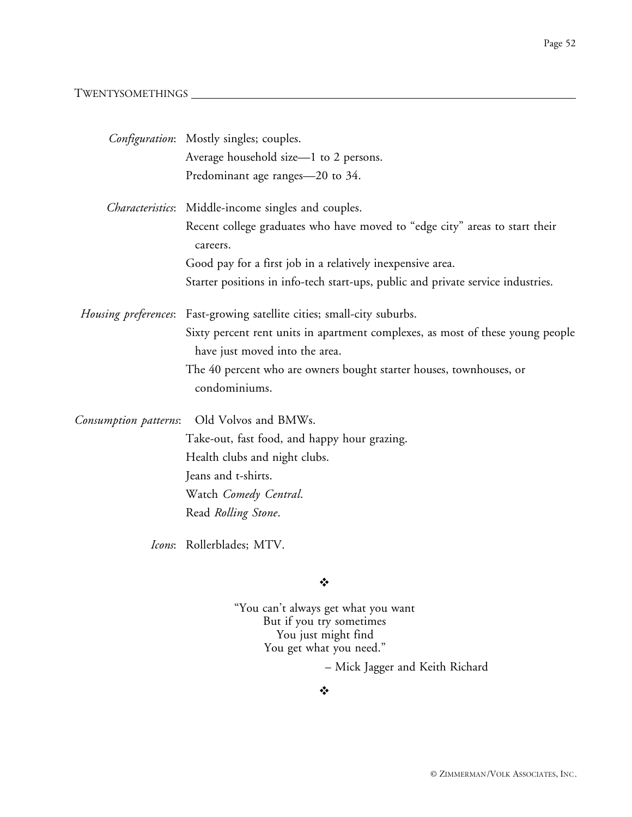#### TWENTYSOMETHINGS

|                       | Configuration: Mostly singles; couples.                                                                          |
|-----------------------|------------------------------------------------------------------------------------------------------------------|
|                       | Average household size-1 to 2 persons.                                                                           |
|                       | Predominant age ranges-20 to 34.                                                                                 |
|                       | Characteristics: Middle-income singles and couples.                                                              |
|                       | Recent college graduates who have moved to "edge city" areas to start their<br>careers.                          |
|                       | Good pay for a first job in a relatively inexpensive area.                                                       |
|                       | Starter positions in info-tech start-ups, public and private service industries.                                 |
|                       | Housing preferences: Fast-growing satellite cities; small-city suburbs.                                          |
|                       | Sixty percent rent units in apartment complexes, as most of these young people<br>have just moved into the area. |
|                       | The 40 percent who are owners bought starter houses, townhouses, or<br>condominiums.                             |
| Consumption patterns: | Old Volvos and BMWs.                                                                                             |
|                       | Take-out, fast food, and happy hour grazing.                                                                     |
|                       | Health clubs and night clubs.                                                                                    |
|                       | Jeans and t-shirts.                                                                                              |
|                       | Watch Comedy Central.                                                                                            |
|                       | Read Rolling Stone.                                                                                              |
|                       | Icons: Rollerblades; MTV.                                                                                        |

 $\bullet^{\bullet}_{\bullet} \bullet$ 

"You can't always get what you want But if you try sometimes You just might find You get what you need."

– Mick Jagger and Keith Richard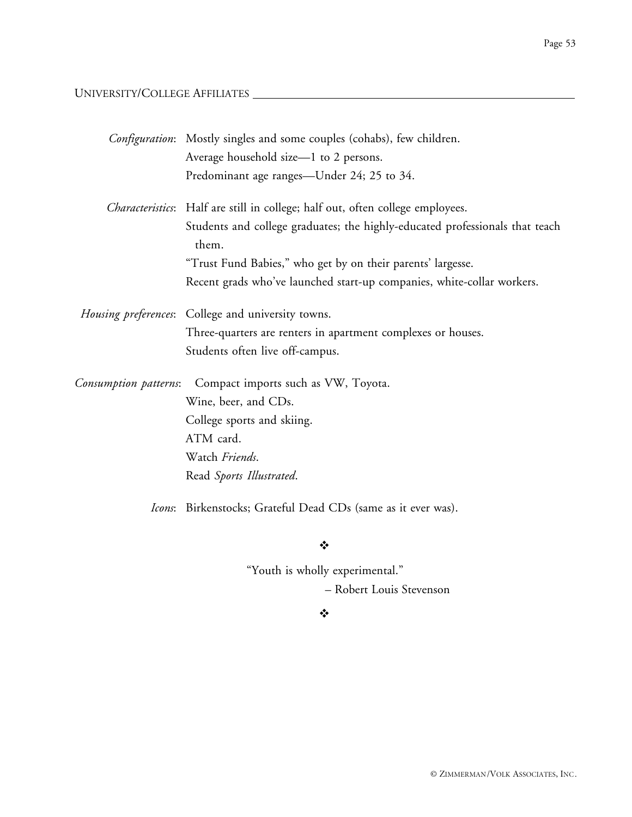## UNIVERSITY/COLLEGE AFFILIATES

| Average household size-1 to 2 persons.<br>Predominant age ranges—Under 24; 25 to 34.<br>Characteristics: Half are still in college; half out, often college employees.<br>Students and college graduates; the highly-educated professionals that teach<br>them.<br>"Trust Fund Babies," who get by on their parents' largesse.<br>Recent grads who've launched start-up companies, white-collar workers.<br>Housing preferences: College and university towns.<br>Three-quarters are renters in apartment complexes or houses.<br>Students often live off-campus.<br>Compact imports such as VW, Toyota.<br>Consumption patterns:<br>Wine, beer, and CDs.<br>College sports and skiing.<br>ATM card.<br>Watch Friends. |  |
|------------------------------------------------------------------------------------------------------------------------------------------------------------------------------------------------------------------------------------------------------------------------------------------------------------------------------------------------------------------------------------------------------------------------------------------------------------------------------------------------------------------------------------------------------------------------------------------------------------------------------------------------------------------------------------------------------------------------|--|
|                                                                                                                                                                                                                                                                                                                                                                                                                                                                                                                                                                                                                                                                                                                        |  |
|                                                                                                                                                                                                                                                                                                                                                                                                                                                                                                                                                                                                                                                                                                                        |  |
|                                                                                                                                                                                                                                                                                                                                                                                                                                                                                                                                                                                                                                                                                                                        |  |
|                                                                                                                                                                                                                                                                                                                                                                                                                                                                                                                                                                                                                                                                                                                        |  |
|                                                                                                                                                                                                                                                                                                                                                                                                                                                                                                                                                                                                                                                                                                                        |  |
|                                                                                                                                                                                                                                                                                                                                                                                                                                                                                                                                                                                                                                                                                                                        |  |
|                                                                                                                                                                                                                                                                                                                                                                                                                                                                                                                                                                                                                                                                                                                        |  |
|                                                                                                                                                                                                                                                                                                                                                                                                                                                                                                                                                                                                                                                                                                                        |  |
|                                                                                                                                                                                                                                                                                                                                                                                                                                                                                                                                                                                                                                                                                                                        |  |
|                                                                                                                                                                                                                                                                                                                                                                                                                                                                                                                                                                                                                                                                                                                        |  |
|                                                                                                                                                                                                                                                                                                                                                                                                                                                                                                                                                                                                                                                                                                                        |  |
|                                                                                                                                                                                                                                                                                                                                                                                                                                                                                                                                                                                                                                                                                                                        |  |
|                                                                                                                                                                                                                                                                                                                                                                                                                                                                                                                                                                                                                                                                                                                        |  |
|                                                                                                                                                                                                                                                                                                                                                                                                                                                                                                                                                                                                                                                                                                                        |  |
| Read Sports Illustrated.                                                                                                                                                                                                                                                                                                                                                                                                                                                                                                                                                                                                                                                                                               |  |
| Icons: Birkenstocks; Grateful Dead CDs (same as it ever was).                                                                                                                                                                                                                                                                                                                                                                                                                                                                                                                                                                                                                                                          |  |

 $\frac{1}{2}$ 

"Youth is wholly experimental."

– Robert Louis Stevenson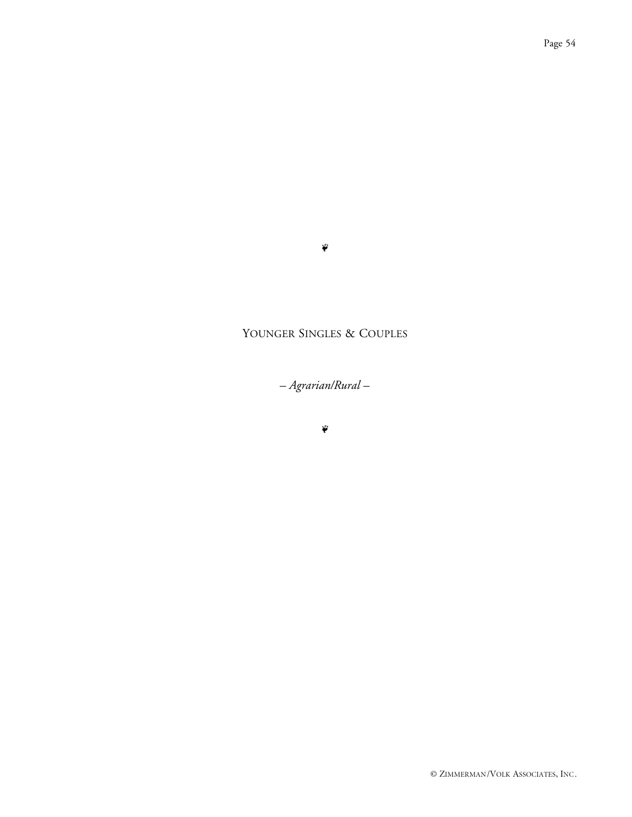#### $\ddot{\phi}$

## YOUNGER SINGLES & COUPLES

*– Agrarian/Rural –*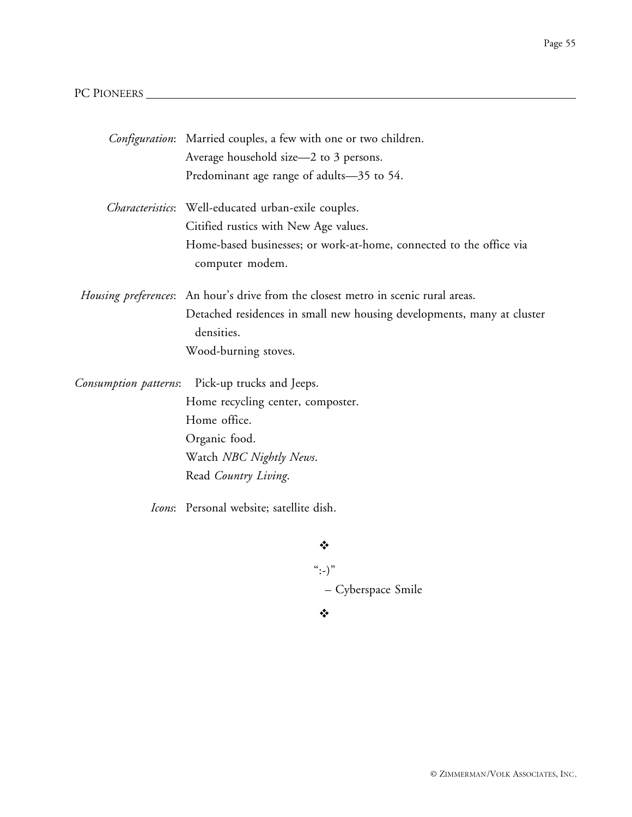## PC PIONEERS

|                       | Configuration: Married couples, a few with one or two children.                        |
|-----------------------|----------------------------------------------------------------------------------------|
|                       | Average household size-2 to 3 persons.                                                 |
|                       | Predominant age range of adults-35 to 54.                                              |
|                       | Characteristics: Well-educated urban-exile couples.                                    |
|                       | Citified rustics with New Age values.                                                  |
|                       | Home-based businesses; or work-at-home, connected to the office via<br>computer modem. |
|                       | Housing preferences: An hour's drive from the closest metro in scenic rural areas.     |
|                       | Detached residences in small new housing developments, many at cluster<br>densities.   |
|                       | Wood-burning stoves.                                                                   |
| Consumption patterns: | Pick-up trucks and Jeeps.                                                              |
|                       | Home recycling center, composter.                                                      |
|                       | Home office.                                                                           |
|                       | Organic food.                                                                          |
|                       | Watch NBC Nightly News.                                                                |
|                       | Read Country Living.                                                                   |
|                       | Icons: Personal website; satellite dish.                                               |
|                       | ❖                                                                                      |
|                       | $``:-)"$                                                                               |

– Cyberspace Smile

 $\bullet \bullet \bullet$